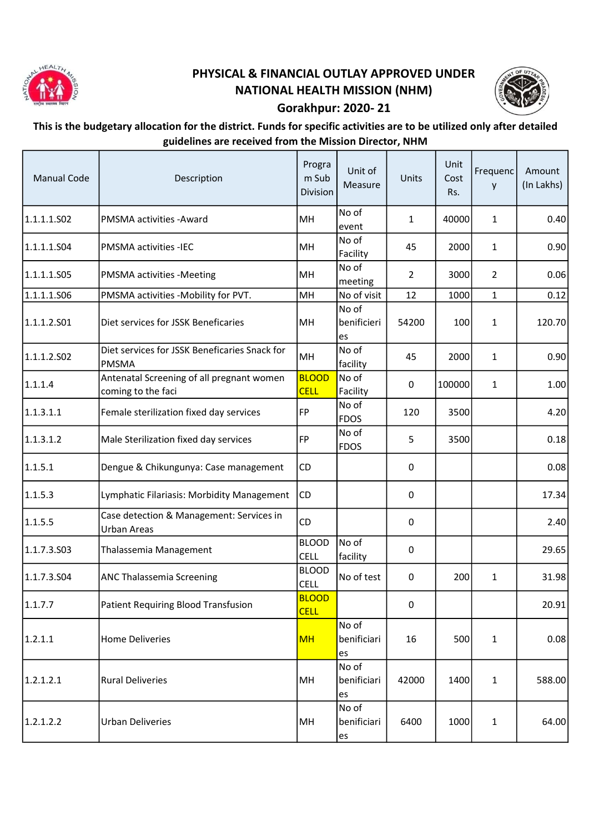

## PHYSICAL & FINANCIAL OUTLAY APPROVED UNDER NATIONAL HEALTH MISSION (NHM)



## Gorakhpur: 2020- 21

## This is the budgetary allocation for the district. Funds for specific activities are to be utilized only after detailed guidelines are received from the Mission Director, NHM

| <b>Manual Code</b> | Description                                                     | Progra<br>m Sub<br>Division | Unit of<br>Measure         | Units            | Unit<br>Cost<br>Rs. | Frequenc<br>y  | Amount<br>(In Lakhs) |
|--------------------|-----------------------------------------------------------------|-----------------------------|----------------------------|------------------|---------------------|----------------|----------------------|
| 1.1.1.1.502        | <b>PMSMA activities - Award</b>                                 | MH                          | No of<br>event             | $\mathbf{1}$     | 40000               | $\mathbf{1}$   | 0.40                 |
| 1.1.1.1.S04        | <b>PMSMA activities -IEC</b>                                    | MH                          | No of<br>Facility          | 45               | 2000                | $\mathbf{1}$   | 0.90                 |
| 1.1.1.1.S05        | <b>PMSMA</b> activities -Meeting                                | MH                          | No of<br>meeting           | $\overline{2}$   | 3000                | $\overline{2}$ | 0.06                 |
| 1.1.1.1.S06        | PMSMA activities -Mobility for PVT.                             | MH                          | No of visit                | 12               | 1000                | $\mathbf{1}$   | 0.12                 |
| 1.1.1.2.501        | Diet services for JSSK Beneficaries                             | MH                          | No of<br>benificieri<br>es | 54200            | 100                 | $\mathbf{1}$   | 120.70               |
| 1.1.1.2.502        | Diet services for JSSK Beneficaries Snack for<br><b>PMSMA</b>   | MH                          | No of<br>facility          | 45               | 2000                | $\mathbf{1}$   | 0.90                 |
| 1.1.1.4            | Antenatal Screening of all pregnant women<br>coming to the faci | <b>BLOOD</b><br><b>CELL</b> | No of<br>Facility          | 0                | 100000              | $\mathbf{1}$   | 1.00                 |
| 1.1.3.1.1          | Female sterilization fixed day services                         | FP                          | No of<br><b>FDOS</b>       | 120              | 3500                |                | 4.20                 |
| 1.1.3.1.2          | Male Sterilization fixed day services                           | FP                          | No of<br><b>FDOS</b>       | 5                | 3500                |                | 0.18                 |
| 1.1.5.1            | Dengue & Chikungunya: Case management                           | CD                          |                            | 0                |                     |                | 0.08                 |
| 1.1.5.3            | Lymphatic Filariasis: Morbidity Management                      | <b>CD</b>                   |                            | 0                |                     |                | 17.34                |
| 1.1.5.5            | Case detection & Management: Services in<br>Urban Areas         | CD                          |                            | 0                |                     |                | 2.40                 |
| 1.1.7.3.503        | Thalassemia Management                                          | <b>BLOOD</b><br><b>CELL</b> | No of<br>facility          | $\boldsymbol{0}$ |                     |                | 29.65                |
| 1.1.7.3.504        | <b>ANC Thalassemia Screening</b>                                | <b>BLOOD</b><br><b>CELL</b> | No of test                 | 0                | 200                 | $\mathbf{1}$   | 31.98                |
| 1.1.7.7            | Patient Requiring Blood Transfusion                             | <b>BLOOD</b><br><b>CELL</b> |                            | $\pmb{0}$        |                     |                | 20.91                |
| 1.2.1.1            | <b>Home Deliveries</b>                                          | <b>MH</b>                   | No of<br>benificiari<br>es | 16               | 500                 | $\mathbf{1}$   | 0.08                 |
| 1.2.1.2.1          | <b>Rural Deliveries</b>                                         | MH                          | No of<br>benificiari<br>es | 42000            | 1400                | $\mathbf{1}$   | 588.00               |
| 1.2.1.2.2          | <b>Urban Deliveries</b>                                         | MH                          | No of<br>benificiari<br>es | 6400             | 1000                | $\mathbf{1}$   | 64.00                |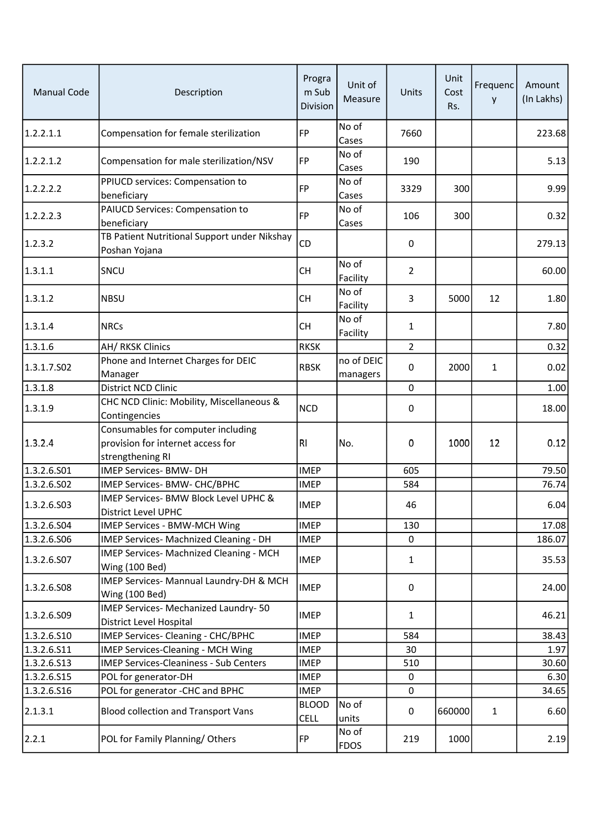| <b>Manual Code</b> | Description                                                                                                  | Progra<br>m Sub<br>Division | Unit of<br>Measure     | Units          | Unit<br>Cost<br>Rs. | Frequenc<br>y | Amount<br>(In Lakhs) |
|--------------------|--------------------------------------------------------------------------------------------------------------|-----------------------------|------------------------|----------------|---------------------|---------------|----------------------|
| 1.2.2.1.1          | Compensation for female sterilization                                                                        | <b>FP</b>                   | No of<br>Cases         | 7660           |                     |               | 223.68               |
| 1.2.2.1.2          | Compensation for male sterilization/NSV                                                                      | FP                          | No of<br>Cases         | 190            |                     |               | 5.13                 |
| 1.2.2.2.2          | PPIUCD services: Compensation to<br>beneficiary                                                              | <b>FP</b>                   | No of<br>Cases         | 3329           | 300                 |               | 9.99                 |
| 1.2.2.2.3          | PAIUCD Services: Compensation to<br>beneficiary                                                              | <b>FP</b>                   | No of<br>Cases         | 106            | 300                 |               | 0.32                 |
| 1.2.3.2            | TB Patient Nutritional Support under Nikshay<br>Poshan Yojana                                                | CD                          |                        | 0              |                     |               | 279.13               |
| 1.3.1.1            | SNCU                                                                                                         | <b>CH</b>                   | No of<br>Facility      | $\overline{2}$ |                     |               | 60.00                |
| 1.3.1.2            | <b>NBSU</b>                                                                                                  | <b>CH</b>                   | No of<br>Facility      | 3              | 5000                | 12            | 1.80                 |
| 1.3.1.4            | <b>NRCs</b>                                                                                                  | <b>CH</b>                   | No of<br>Facility      | 1              |                     |               | 7.80                 |
| 1.3.1.6            | AH/ RKSK Clinics                                                                                             | <b>RKSK</b>                 |                        | $\overline{2}$ |                     |               | 0.32                 |
| 1.3.1.7.502        | Phone and Internet Charges for DEIC<br>Manager                                                               | <b>RBSK</b>                 | no of DEIC<br>managers | 0              | 2000                | 1             | 0.02                 |
| 1.3.1.8            | District NCD Clinic                                                                                          |                             |                        | 0              |                     |               | 1.00                 |
| 1.3.1.9            | CHC NCD Clinic: Mobility, Miscellaneous &                                                                    | <b>NCD</b>                  |                        | 0              |                     |               | 18.00                |
| 1.3.2.4            | Contingencies<br>Consumables for computer including<br>provision for internet access for<br>strengthening RI | <b>RI</b>                   | No.                    | 0              | 1000                | 12            | 0.12                 |
| 1.3.2.6.S01        | <b>IMEP Services- BMW- DH</b>                                                                                | <b>IMEP</b>                 |                        | 605            |                     |               | 79.50                |
| 1.3.2.6.502        | IMEP Services- BMW- CHC/BPHC                                                                                 | <b>IMEP</b>                 |                        | 584            |                     |               | 76.74                |
| 1.3.2.6.503        | IMEP Services- BMW Block Level UPHC &<br><b>District Level UPHC</b>                                          | <b>IMEP</b>                 |                        | 46             |                     |               | 6.04                 |
| 1.3.2.6.504        | IMEP Services - BMW-MCH Wing                                                                                 | <b>IMEP</b>                 |                        | 130            |                     |               | 17.08                |
| 1.3.2.6.506        | IMEP Services- Machnized Cleaning - DH                                                                       | <b>IMEP</b>                 |                        | 0              |                     |               | 186.07               |
| 1.3.2.6.507        | IMEP Services- Machnized Cleaning - MCH<br>Wing (100 Bed)                                                    | <b>IMEP</b>                 |                        | $\mathbf{1}$   |                     |               | 35.53                |
| 1.3.2.6.508        | IMEP Services- Mannual Laundry-DH & MCH<br>Wing (100 Bed)                                                    | <b>IMEP</b>                 |                        | 0              |                     |               | 24.00                |
| 1.3.2.6.509        | IMEP Services- Mechanized Laundry- 50<br>District Level Hospital                                             | <b>IMEP</b>                 |                        | 1              |                     |               | 46.21                |
| 1.3.2.6.510        | IMEP Services- Cleaning - CHC/BPHC                                                                           | <b>IMEP</b>                 |                        | 584            |                     |               | 38.43                |
| 1.3.2.6.511        | <b>IMEP Services-Cleaning - MCH Wing</b>                                                                     | <b>IMEP</b>                 |                        | 30             |                     |               | 1.97                 |
| 1.3.2.6.513        | <b>IMEP Services-Cleaniness - Sub Centers</b>                                                                | <b>IMEP</b>                 |                        | 510            |                     |               | 30.60                |
| 1.3.2.6.S15        | POL for generator-DH                                                                                         | <b>IMEP</b>                 |                        | 0              |                     |               | 6.30                 |
| 1.3.2.6.516        | POL for generator -CHC and BPHC                                                                              | <b>IMEP</b>                 |                        | 0              |                     |               | 34.65                |
| 2.1.3.1            | <b>Blood collection and Transport Vans</b>                                                                   | <b>BLOOD</b><br><b>CELL</b> | No of<br>units         | 0              | 660000              | $\mathbf{1}$  | 6.60                 |
| 2.2.1              | POL for Family Planning/Others                                                                               | <b>FP</b>                   | No of<br><b>FDOS</b>   | 219            | 1000                |               | 2.19                 |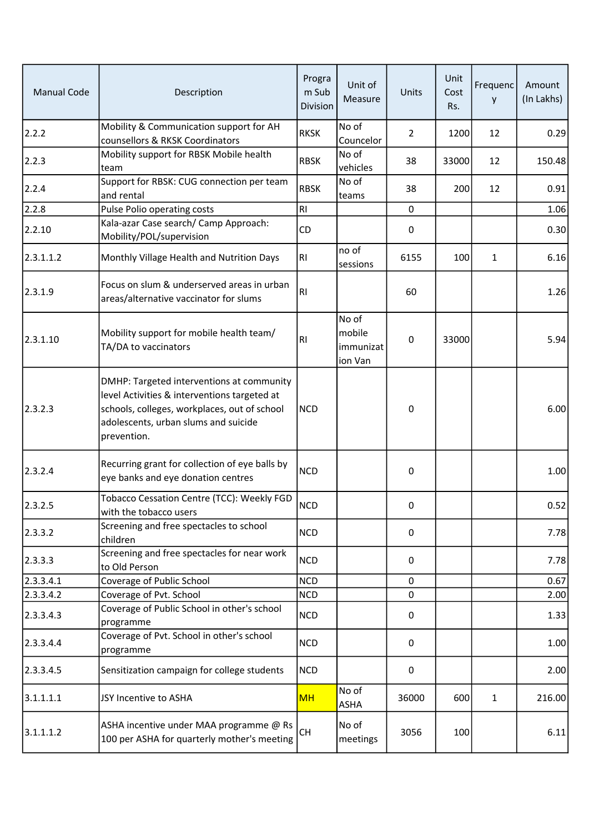| <b>Manual Code</b> | Description                                                                                                                                                                                      | Progra<br>m Sub<br>Division | Unit of<br>Measure                      | Units          | Unit<br>Cost<br>Rs. | Frequenc<br>y | Amount<br>(In Lakhs) |
|--------------------|--------------------------------------------------------------------------------------------------------------------------------------------------------------------------------------------------|-----------------------------|-----------------------------------------|----------------|---------------------|---------------|----------------------|
| 2.2.2              | Mobility & Communication support for AH<br>counsellors & RKSK Coordinators                                                                                                                       | <b>RKSK</b>                 | No of<br>Councelor                      | $\overline{2}$ | 1200                | 12            | 0.29                 |
| 2.2.3              | Mobility support for RBSK Mobile health<br>team                                                                                                                                                  | <b>RBSK</b>                 | No of<br>vehicles                       | 38             | 33000               | 12            | 150.48               |
| 2.2.4              | Support for RBSK: CUG connection per team<br>and rental                                                                                                                                          | <b>RBSK</b>                 | No of<br>teams                          | 38             | 200                 | 12            | 0.91                 |
| 2.2.8              | Pulse Polio operating costs                                                                                                                                                                      | RI                          |                                         | $\mathbf 0$    |                     |               | 1.06                 |
| 2.2.10             | Kala-azar Case search/ Camp Approach:<br>Mobility/POL/supervision                                                                                                                                | CD                          |                                         | $\pmb{0}$      |                     |               | 0.30                 |
| 2.3.1.1.2          | Monthly Village Health and Nutrition Days                                                                                                                                                        | <b>RI</b>                   | no of<br>sessions                       | 6155           | 100                 | 1             | 6.16                 |
| 2.3.1.9            | Focus on slum & underserved areas in urban<br>areas/alternative vaccinator for slums                                                                                                             | <b>RI</b>                   |                                         | 60             |                     |               | 1.26                 |
| 2.3.1.10           | Mobility support for mobile health team/<br>TA/DA to vaccinators                                                                                                                                 | R <sub>l</sub>              | No of<br>mobile<br>immunizat<br>ion Van | 0              | 33000               |               | 5.94                 |
| 2.3.2.3            | DMHP: Targeted interventions at community<br>level Activities & interventions targeted at<br>schools, colleges, workplaces, out of school<br>adolescents, urban slums and suicide<br>prevention. | <b>NCD</b>                  |                                         | 0              |                     |               | 6.00                 |
| 2.3.2.4            | Recurring grant for collection of eye balls by<br>eye banks and eye donation centres                                                                                                             | <b>NCD</b>                  |                                         | $\pmb{0}$      |                     |               | 1.00                 |
| 2.3.2.5            | Tobacco Cessation Centre (TCC): Weekly FGD<br>with the tobacco users                                                                                                                             | NCD                         |                                         | 0              |                     |               | 0.52                 |
| 2.3.3.2            | Screening and free spectacles to school<br>children                                                                                                                                              | <b>NCD</b>                  |                                         | 0              |                     |               | 7.78                 |
| 2.3.3.3            | Screening and free spectacles for near work<br>to Old Person                                                                                                                                     | <b>NCD</b>                  |                                         | 0              |                     |               | 7.78                 |
| 2.3.3.4.1          | Coverage of Public School                                                                                                                                                                        | <b>NCD</b>                  |                                         | 0              |                     |               | 0.67                 |
| 2.3.3.4.2          | Coverage of Pvt. School                                                                                                                                                                          | <b>NCD</b>                  |                                         | $\mathbf 0$    |                     |               | 2.00                 |
| 2.3.3.4.3          | Coverage of Public School in other's school<br>programme                                                                                                                                         | <b>NCD</b>                  |                                         | $\pmb{0}$      |                     |               | 1.33                 |
| 2.3.3.4.4          | Coverage of Pvt. School in other's school<br>programme                                                                                                                                           | <b>NCD</b>                  |                                         | $\mathbf 0$    |                     |               | 1.00                 |
| 2.3.3.4.5          | Sensitization campaign for college students                                                                                                                                                      | <b>NCD</b>                  |                                         | 0              |                     |               | 2.00                 |
| 3.1.1.1.1          | JSY Incentive to ASHA                                                                                                                                                                            | <b>MH</b>                   | No of<br>ASHA                           | 36000          | 600                 | $\mathbf{1}$  | 216.00               |
| 3.1.1.1.2          | ASHA incentive under MAA programme @ Rs<br>100 per ASHA for quarterly mother's meeting                                                                                                           | <b>CH</b>                   | No of<br>meetings                       | 3056           | 100                 |               | 6.11                 |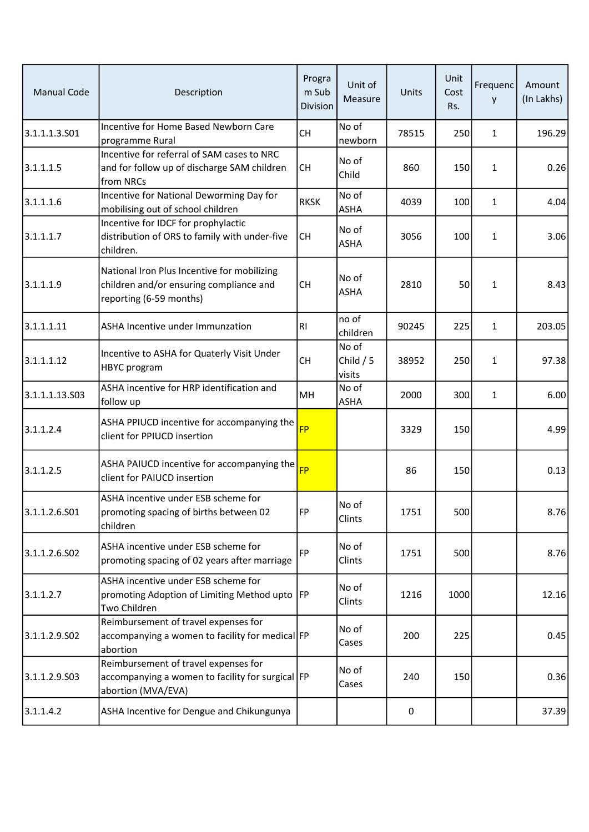| <b>Manual Code</b> | Description                                                                                                       | Progra<br>m Sub<br>Division | Unit of<br>Measure            | Units | Unit<br>Cost<br>Rs. | Frequenc<br>y | Amount<br>(In Lakhs) |
|--------------------|-------------------------------------------------------------------------------------------------------------------|-----------------------------|-------------------------------|-------|---------------------|---------------|----------------------|
| 3.1.1.1.3.501      | Incentive for Home Based Newborn Care<br>programme Rural                                                          | <b>CH</b>                   | No of<br>newborn              | 78515 | 250                 | $\mathbf{1}$  | 196.29               |
| 3.1.1.1.5          | Incentive for referral of SAM cases to NRC<br>and for follow up of discharge SAM children<br>from NRCs            | <b>CH</b>                   | No of<br>Child                | 860   | 150                 | $\mathbf{1}$  | 0.26                 |
| 3.1.1.1.6          | Incentive for National Deworming Day for<br>mobilising out of school children                                     | <b>RKSK</b>                 | No of<br><b>ASHA</b>          | 4039  | 100                 | $\mathbf{1}$  | 4.04                 |
| 3.1.1.1.7          | Incentive for IDCF for prophylactic<br>distribution of ORS to family with under-five<br>children.                 | <b>CH</b>                   | No of<br><b>ASHA</b>          | 3056  | 100                 | $\mathbf{1}$  | 3.06                 |
| 3.1.1.1.9          | National Iron Plus Incentive for mobilizing<br>children and/or ensuring compliance and<br>reporting (6-59 months) | <b>CH</b>                   | No of<br><b>ASHA</b>          | 2810  | 50                  | $\mathbf{1}$  | 8.43                 |
| 3.1.1.1.11         | ASHA Incentive under Immunzation                                                                                  | RI                          | no of<br>children             | 90245 | 225                 | $\mathbf{1}$  | 203.05               |
| 3.1.1.1.12         | Incentive to ASHA for Quaterly Visit Under<br>HBYC program                                                        | <b>CH</b>                   | No of<br>Child $/5$<br>visits | 38952 | 250                 | $\mathbf{1}$  | 97.38                |
| 3.1.1.1.13.503     | ASHA incentive for HRP identification and<br>follow up                                                            | MH                          | No of<br><b>ASHA</b>          | 2000  | 300                 | $\mathbf{1}$  | 6.00                 |
| 3.1.1.2.4          | ASHA PPIUCD incentive for accompanying the<br>client for PPIUCD insertion                                         | FP                          |                               | 3329  | 150                 |               | 4.99                 |
| 3.1.1.2.5          | ASHA PAIUCD incentive for accompanying the $\frac{1}{5}$<br>client for PAIUCD insertion                           |                             |                               | 86    | 150                 |               | 0.13                 |
| 3.1.1.2.6.S01      | ASHA incentive under ESB scheme for<br>promoting spacing of births between 02<br>children                         | FP                          | No of<br>Clints               | 1751  | 500                 |               | 8.76                 |
| 3.1.1.2.6.502      | ASHA incentive under ESB scheme for<br>promoting spacing of 02 years after marriage                               | FP                          | No of<br>Clints               | 1751  | 500                 |               | 8.76                 |
| 3.1.1.2.7          | ASHA incentive under ESB scheme for<br>promoting Adoption of Limiting Method upto  FP<br>Two Children             |                             | No of<br>Clints               | 1216  | 1000                |               | 12.16                |
| 3.1.1.2.9.502      | Reimbursement of travel expenses for<br>accompanying a women to facility for medical FP<br>abortion               |                             | No of<br>Cases                | 200   | 225                 |               | 0.45                 |
| 3.1.1.2.9.503      | Reimbursement of travel expenses for<br>accompanying a women to facility for surgical FP<br>abortion (MVA/EVA)    |                             | No of<br>Cases                | 240   | 150                 |               | 0.36                 |
| 3.1.1.4.2          | ASHA Incentive for Dengue and Chikungunya                                                                         |                             |                               | 0     |                     |               | 37.39                |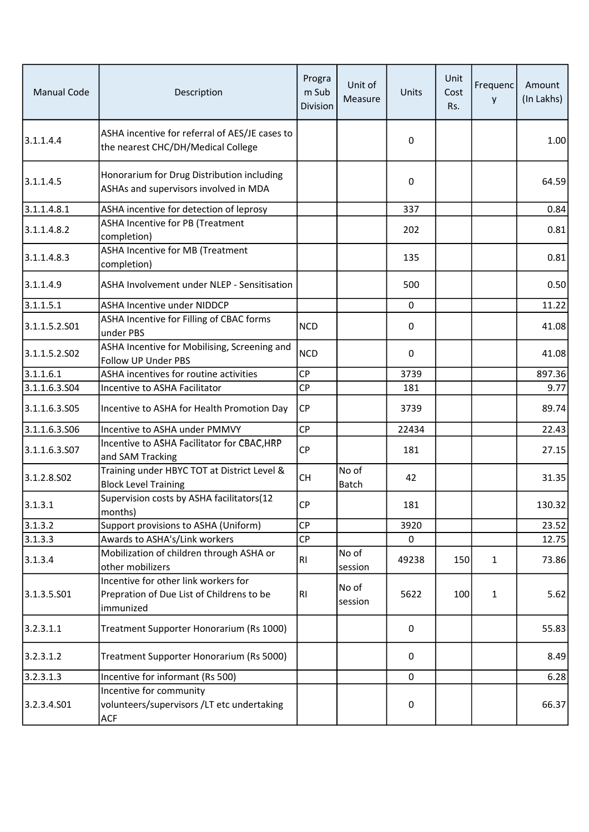| <b>Manual Code</b> | Description                                                                                    | Progra<br>m Sub<br>Division | Unit of<br>Measure    | Units       | Unit<br>Cost<br>Rs. | Frequenc<br>у | Amount<br>(In Lakhs) |
|--------------------|------------------------------------------------------------------------------------------------|-----------------------------|-----------------------|-------------|---------------------|---------------|----------------------|
| 3.1.1.4.4          | ASHA incentive for referral of AES/JE cases to<br>the nearest CHC/DH/Medical College           |                             |                       | 0           |                     |               | 1.00                 |
| 3.1.1.4.5          | Honorarium for Drug Distribution including<br>ASHAs and supervisors involved in MDA            |                             |                       | 0           |                     |               | 64.59                |
| 3.1.1.4.8.1        | ASHA incentive for detection of leprosy                                                        |                             |                       | 337         |                     |               | 0.84                 |
| 3.1.1.4.8.2        | ASHA Incentive for PB (Treatment<br>completion)                                                |                             |                       | 202         |                     |               | 0.81                 |
| 3.1.1.4.8.3        | <b>ASHA</b> Incentive for MB (Treatment<br>completion)                                         |                             |                       | 135         |                     |               | 0.81                 |
| 3.1.1.4.9          | ASHA Involvement under NLEP - Sensitisation                                                    |                             |                       | 500         |                     |               | 0.50                 |
| 3.1.1.5.1          | <b>ASHA Incentive under NIDDCP</b>                                                             |                             |                       | $\Omega$    |                     |               | 11.22                |
| 3.1.1.5.2.501      | ASHA Incentive for Filling of CBAC forms<br>under PBS                                          | <b>NCD</b>                  |                       | 0           |                     |               | 41.08                |
| 3.1.1.5.2.502      | ASHA Incentive for Mobilising, Screening and<br>Follow UP Under PBS                            | <b>NCD</b>                  |                       | 0           |                     |               | 41.08                |
| 3.1.1.6.1          | ASHA incentives for routine activities                                                         | <b>CP</b>                   |                       | 3739        |                     |               | 897.36               |
| 3.1.1.6.3.504      | Incentive to ASHA Facilitator                                                                  | CP                          |                       | 181         |                     |               | 9.77                 |
| 3.1.1.6.3.S05      | Incentive to ASHA for Health Promotion Day                                                     | <b>CP</b>                   |                       | 3739        |                     |               | 89.74                |
| 3.1.1.6.3.506      | Incentive to ASHA under PMMVY                                                                  | CP                          |                       | 22434       |                     |               | 22.43                |
| 3.1.1.6.3.S07      | Incentive to ASHA Facilitator for CBAC, HRP<br>and SAM Tracking                                | <b>CP</b>                   |                       | 181         |                     |               | 27.15                |
| 3.1.2.8.502        | Training under HBYC TOT at District Level &<br><b>Block Level Training</b>                     | CH                          | No of<br><b>Batch</b> | 42          |                     |               | 31.35                |
| 3.1.3.1            | Supervision costs by ASHA facilitators(12<br>months)                                           | CP                          |                       | 181         |                     |               | 130.32               |
| 3.1.3.2            | Support provisions to ASHA (Uniform)                                                           | <b>CP</b>                   |                       | 3920        |                     |               | 23.52                |
| 3.1.3.3            | Awards to ASHA's/Link workers                                                                  | <b>CP</b>                   |                       | 0           |                     |               | 12.75                |
| 3.1.3.4            | Mobilization of children through ASHA or<br>other mobilizers                                   | <b>RI</b>                   | No of<br>session      | 49238       | 150                 | $\mathbf{1}$  | 73.86                |
| 3.1.3.5.501        | Incentive for other link workers for<br>Prepration of Due List of Childrens to be<br>immunized | R1                          | No of<br>session      | 5622        | 100                 | $\mathbf 1$   | 5.62                 |
| 3.2.3.1.1          | Treatment Supporter Honorarium (Rs 1000)                                                       |                             |                       | 0           |                     |               | 55.83                |
| 3.2.3.1.2          | Treatment Supporter Honorarium (Rs 5000)                                                       |                             |                       | 0           |                     |               | 8.49                 |
| 3.2.3.1.3          | Incentive for informant (Rs 500)                                                               |                             |                       | $\mathbf 0$ |                     |               | 6.28                 |
| 3.2.3.4.S01        | Incentive for community<br>volunteers/supervisors /LT etc undertaking<br><b>ACF</b>            |                             |                       | 0           |                     |               | 66.37                |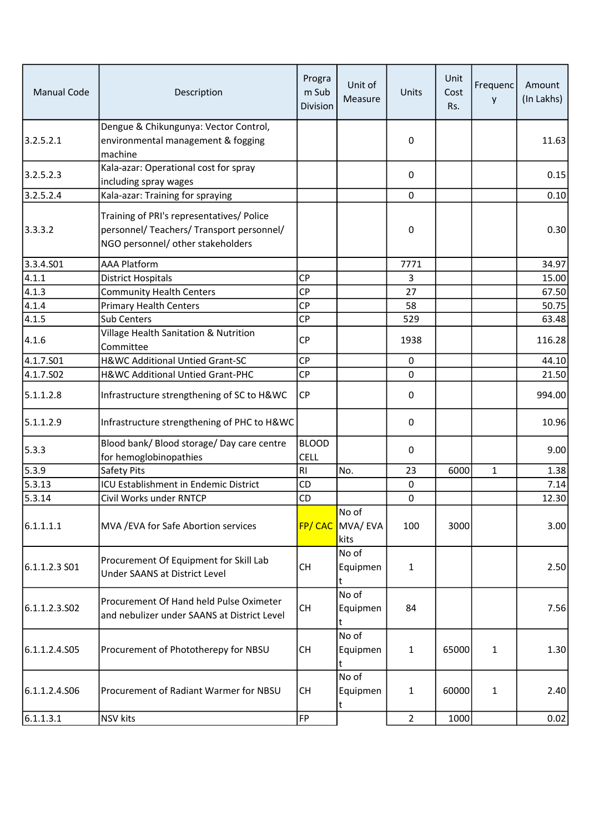| <b>Manual Code</b> | Description                                                                                                                 | Progra<br>m Sub<br>Division | Unit of<br>Measure                | Units          | Unit<br>Cost<br>Rs. | Frequenc<br>y | Amount<br>(In Lakhs) |
|--------------------|-----------------------------------------------------------------------------------------------------------------------------|-----------------------------|-----------------------------------|----------------|---------------------|---------------|----------------------|
| 3.2.5.2.1          | Dengue & Chikungunya: Vector Control,<br>environmental management & fogging<br>machine                                      |                             |                                   | 0              |                     |               | 11.63                |
| 3.2.5.2.3          | Kala-azar: Operational cost for spray<br>including spray wages                                                              |                             |                                   | 0              |                     |               | 0.15                 |
| 3.2.5.2.4          | Kala-azar: Training for spraying                                                                                            |                             |                                   | 0              |                     |               | 0.10                 |
| 3.3.3.2            | Training of PRI's representatives/ Police<br>personnel/ Teachers/ Transport personnel/<br>NGO personnel/ other stakeholders |                             |                                   | 0              |                     |               | 0.30                 |
| 3.3.4.S01          | <b>AAA Platform</b>                                                                                                         |                             |                                   | 7771           |                     |               | 34.97                |
| 4.1.1              | <b>District Hospitals</b>                                                                                                   | <b>CP</b>                   |                                   | 3              |                     |               | 15.00                |
| $\sqrt{4.1.3}$     | <b>Community Health Centers</b>                                                                                             | <b>CP</b>                   |                                   | 27             |                     |               | 67.50                |
| 4.1.4              | <b>Primary Health Centers</b>                                                                                               | <b>CP</b>                   |                                   | 58             |                     |               | 50.75                |
| 4.1.5              | Sub Centers                                                                                                                 | <b>CP</b>                   |                                   | 529            |                     |               | 63.48                |
| 4.1.6              | Village Health Sanitation & Nutrition<br>Committee                                                                          | <b>CP</b>                   |                                   | 1938           |                     |               | 116.28               |
| 4.1.7.501          | H&WC Additional Untied Grant-SC                                                                                             | <b>CP</b>                   |                                   | $\pmb{0}$      |                     |               | 44.10                |
| 4.1.7.502          | H&WC Additional Untied Grant-PHC                                                                                            | <b>CP</b>                   |                                   | $\mathbf 0$    |                     |               | 21.50                |
| 5.1.1.2.8          | Infrastructure strengthening of SC to H&WC                                                                                  | <b>CP</b>                   |                                   | 0              |                     |               | 994.00               |
| 5.1.1.2.9          | Infrastructure strengthening of PHC to H&WC                                                                                 |                             |                                   | 0              |                     |               | 10.96                |
| 5.3.3              | Blood bank/ Blood storage/ Day care centre<br>for hemoglobinopathies                                                        | <b>BLOOD</b><br><b>CELL</b> |                                   | 0              |                     |               | 9.00                 |
| 5.3.9              | Safety Pits                                                                                                                 | R <sub>l</sub>              | No.                               | 23             | 6000                | $\mathbf{1}$  | 1.38                 |
| 5.3.13             | ICU Establishment in Endemic District                                                                                       | CD                          |                                   | $\pmb{0}$      |                     |               | 7.14                 |
| 5.3.14             | Civil Works under RNTCP                                                                                                     | CD                          |                                   | 0              |                     |               | 12.30                |
| 6.1.1.1.1          | MVA / EVA for Safe Abortion services                                                                                        |                             | No of<br>FP/ CAC MVA/ EVA<br>kits | 100            | 3000                |               | 3.00                 |
| 6.1.1.2.3 SO1      | Procurement Of Equipment for Skill Lab<br><b>Under SAANS at District Level</b>                                              | <b>CH</b>                   | No of<br>Equipmen<br>t            | $\mathbf{1}$   |                     |               | 2.50                 |
| 6.1.1.2.3.502      | Procurement Of Hand held Pulse Oximeter<br>and nebulizer under SAANS at District Level                                      | <b>CH</b>                   | No of<br>Equipmen<br>t            | 84             |                     |               | 7.56                 |
| 6.1.1.2.4.S05      | Procurement of Phototherepy for NBSU                                                                                        | <b>CH</b>                   | No of<br>Equipmen<br>t            | 1              | 65000               | $\mathbf{1}$  | 1.30                 |
| 6.1.1.2.4.506      | Procurement of Radiant Warmer for NBSU                                                                                      | <b>CH</b>                   | No of<br>Equipmen                 | $\mathbf{1}$   | 60000               | $\mathbf{1}$  | 2.40                 |
| 6.1.1.3.1          | NSV kits                                                                                                                    | FP                          |                                   | $\overline{2}$ | 1000                |               | 0.02                 |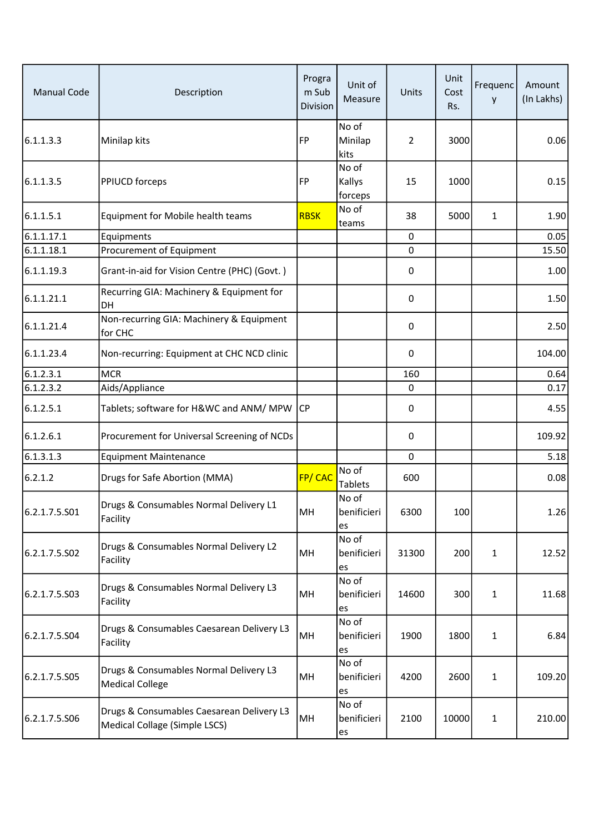| <b>Manual Code</b> | Description                                                                | Progra<br>m Sub<br>Division | Unit of<br>Measure         | Units          | Unit<br>Cost<br>Rs. | Frequenc<br>y | Amount<br>(In Lakhs) |
|--------------------|----------------------------------------------------------------------------|-----------------------------|----------------------------|----------------|---------------------|---------------|----------------------|
| 6.1.1.3.3          | Minilap kits                                                               | <b>FP</b>                   | No of<br>Minilap<br>kits   | $\overline{2}$ | 3000                |               | 0.06                 |
| 6.1.1.3.5          | PPIUCD forceps                                                             | <b>FP</b>                   | No of<br>Kallys<br>forceps | 15             | 1000                |               | 0.15                 |
| 6.1.1.5.1          | Equipment for Mobile health teams                                          | <b>RBSK</b>                 | No of<br>teams             | 38             | 5000                | 1             | 1.90                 |
| 6.1.1.17.1         | Equipments                                                                 |                             |                            | 0              |                     |               | 0.05                 |
| 6.1.1.18.1         | Procurement of Equipment                                                   |                             |                            | 0              |                     |               | 15.50                |
| 6.1.1.19.3         | Grant-in-aid for Vision Centre (PHC) (Govt.)                               |                             |                            | 0              |                     |               | 1.00                 |
| 6.1.1.21.1         | Recurring GIA: Machinery & Equipment for<br>DH                             |                             |                            | 0              |                     |               | 1.50                 |
| 6.1.1.21.4         | Non-recurring GIA: Machinery & Equipment<br>for CHC                        |                             |                            | 0              |                     |               | 2.50                 |
| 6.1.1.23.4         | Non-recurring: Equipment at CHC NCD clinic                                 |                             |                            | 0              |                     |               | 104.00               |
| 6.1.2.3.1          | <b>MCR</b>                                                                 |                             |                            | 160            |                     |               | 0.64                 |
| 6.1.2.3.2          | Aids/Appliance                                                             |                             |                            | $\mathbf 0$    |                     |               | 0.17                 |
| 6.1.2.5.1          | Tablets; software for H&WC and ANM/ MPW                                    | ICP                         |                            | 0              |                     |               | 4.55                 |
| 6.1.2.6.1          | Procurement for Universal Screening of NCDs                                |                             |                            | 0              |                     |               | 109.92               |
| 6.1.3.1.3          | <b>Equipment Maintenance</b>                                               |                             |                            | 0              |                     |               | 5.18                 |
| 6.2.1.2            | Drugs for Safe Abortion (MMA)                                              | FP/CAC                      | No of<br><b>Tablets</b>    | 600            |                     |               | 0.08                 |
| 6.2.1.7.5.S01      | Drugs & Consumables Normal Delivery L1<br>Facility                         | MH                          | No of<br>benificieri<br>es | 6300           | 100                 |               | 1.26                 |
| 6.2.1.7.5.502      | Drugs & Consumables Normal Delivery L2<br>Facility                         | MH                          | No of<br>benificieri<br>es | 31300          | 200                 | 1             | 12.52                |
| 6.2.1.7.5.503      | Drugs & Consumables Normal Delivery L3<br>Facility                         | MH                          | No of<br>benificieri<br>es | 14600          | 300                 | 1             | 11.68                |
| 6.2.1.7.5.504      | Drugs & Consumables Caesarean Delivery L3<br>Facility                      | MH                          | No of<br>benificieri<br>es | 1900           | 1800                | 1             | 6.84                 |
| 6.2.1.7.5.S05      | Drugs & Consumables Normal Delivery L3<br><b>Medical College</b>           | MH                          | No of<br>benificieri<br>es | 4200           | 2600                | $\mathbf{1}$  | 109.20               |
| 6.2.1.7.5.506      | Drugs & Consumables Caesarean Delivery L3<br>Medical Collage (Simple LSCS) | MH                          | No of<br>benificieri<br>es | 2100           | 10000               | $\mathbf{1}$  | 210.00               |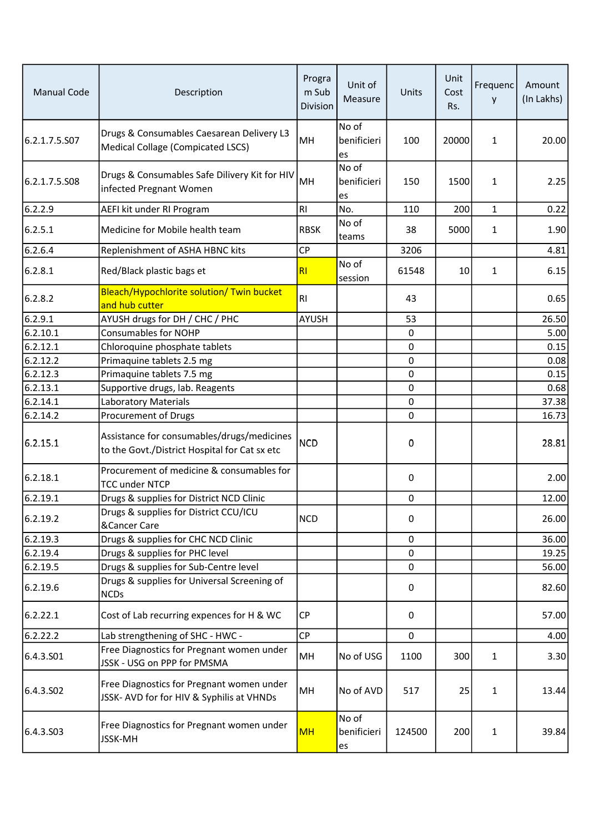| <b>Manual Code</b> | Description                                                                                 | Progra<br>m Sub<br>Division | Unit of<br>Measure         | Units     | Unit<br>Cost<br>Rs. | Frequenc<br>y | Amount<br>(In Lakhs) |
|--------------------|---------------------------------------------------------------------------------------------|-----------------------------|----------------------------|-----------|---------------------|---------------|----------------------|
| 6.2.1.7.5.S07      | Drugs & Consumables Caesarean Delivery L3<br>Medical Collage (Compicated LSCS)              | MH                          | No of<br>benificieri<br>es | 100       | 20000               | 1             | 20.00                |
| 6.2.1.7.5.508      | Drugs & Consumables Safe Dilivery Kit for HIV<br>infected Pregnant Women                    | MH                          | No of<br>benificieri<br>es | 150       | 1500                | 1             | 2.25                 |
| 6.2.2.9            | AEFI kit under RI Program                                                                   | RI                          | No.                        | 110       | 200                 | $\mathbf{1}$  | 0.22                 |
| 6.2.5.1            | Medicine for Mobile health team                                                             | <b>RBSK</b>                 | No of<br>teams             | 38        | 5000                | $\mathbf{1}$  | 1.90                 |
| 6.2.6.4            | Replenishment of ASHA HBNC kits                                                             | CP                          |                            | 3206      |                     |               | 4.81                 |
| 6.2.8.1            | Red/Black plastic bags et                                                                   | RI                          | No of<br>session           | 61548     | 10                  | 1             | 6.15                 |
| 6.2.8.2            | Bleach/Hypochlorite solution/ Twin bucket<br>and hub cutter                                 | R <sub>l</sub>              |                            | 43        |                     |               | 0.65                 |
| 6.2.9.1            | AYUSH drugs for DH / CHC / PHC                                                              | <b>AYUSH</b>                |                            | 53        |                     |               | 26.50                |
| 6.2.10.1           | <b>Consumables for NOHP</b>                                                                 |                             |                            | 0         |                     |               | 5.00                 |
| 6.2.12.1           | Chloroquine phosphate tablets                                                               |                             |                            | 0         |                     |               | 0.15                 |
| 6.2.12.2           | Primaquine tablets 2.5 mg                                                                   |                             |                            | 0         |                     |               | 0.08                 |
| 6.2.12.3           | Primaquine tablets 7.5 mg                                                                   |                             |                            | 0         |                     |               | 0.15                 |
| 6.2.13.1           | Supportive drugs, lab. Reagents                                                             |                             |                            | 0         |                     |               | 0.68                 |
| 6.2.14.1           | Laboratory Materials                                                                        |                             |                            | 0         |                     |               | 37.38                |
| 6.2.14.2           | Procurement of Drugs                                                                        |                             |                            | 0         |                     |               | 16.73                |
| 6.2.15.1           | Assistance for consumables/drugs/medicines<br>to the Govt./District Hospital for Cat sx etc | <b>NCD</b>                  |                            | 0         |                     |               | 28.81                |
| 6.2.18.1           | Procurement of medicine & consumables for<br><b>TCC under NTCP</b>                          |                             |                            | $\pmb{0}$ |                     |               | 2.00                 |
| 6.2.19.1           | Drugs & supplies for District NCD Clinic                                                    |                             |                            | 0         |                     |               | 12.00                |
| 6.2.19.2           | Drugs & supplies for District CCU/ICU<br>&Cancer Care                                       | <b>NCD</b>                  |                            | 0         |                     |               | 26.00                |
| 6.2.19.3           | Drugs & supplies for CHC NCD Clinic                                                         |                             |                            | 0         |                     |               | 36.00                |
| 6.2.19.4           | Drugs & supplies for PHC level                                                              |                             |                            | 0         |                     |               | 19.25                |
| 6.2.19.5           | Drugs & supplies for Sub-Centre level                                                       |                             |                            | 0         |                     |               | 56.00                |
| 6.2.19.6           | Drugs & supplies for Universal Screening of<br><b>NCDs</b>                                  |                             |                            | 0         |                     |               | 82.60                |
| 6.2.22.1           | Cost of Lab recurring expences for H & WC                                                   | <b>CP</b>                   |                            | 0         |                     |               | 57.00                |
| 6.2.22.2           | Lab strengthening of SHC - HWC -                                                            | CP                          |                            | 0         |                     |               | 4.00                 |
| 6.4.3.501          | Free Diagnostics for Pregnant women under<br>JSSK - USG on PPP for PMSMA                    | MH                          | No of USG                  | 1100      | 300                 | $\mathbf{1}$  | 3.30                 |
| 6.4.3.502          | Free Diagnostics for Pregnant women under<br>JSSK- AVD for for HIV & Syphilis at VHNDs      | MH                          | No of AVD                  | 517       | 25                  | $\mathbf 1$   | 13.44                |
| 6.4.3.503          | Free Diagnostics for Pregnant women under<br><b>JSSK-MH</b>                                 | <b>MH</b>                   | No of<br>benificieri<br>es | 124500    | 200                 | 1             | 39.84                |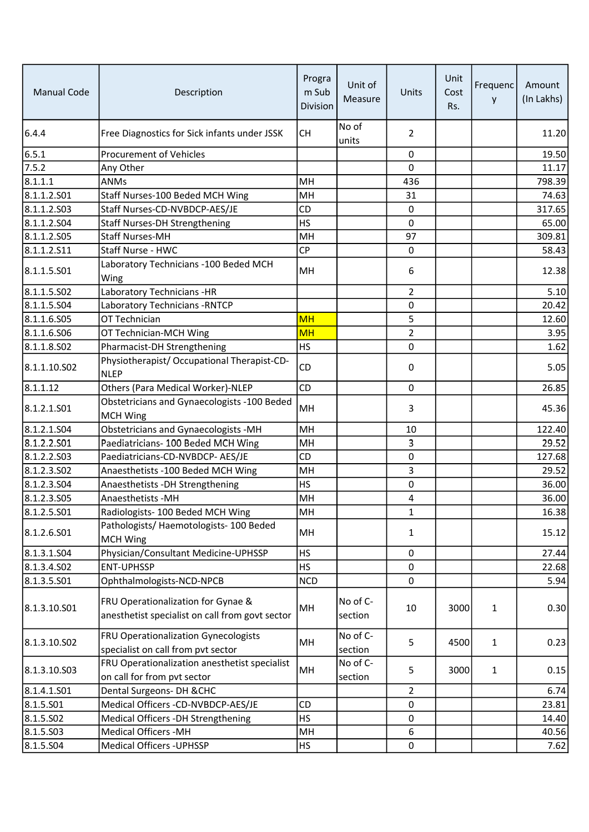| <b>Manual Code</b> | Description                                                                           | Progra<br>m Sub<br><b>Division</b> | Unit of<br>Measure  | Units          | Unit<br>Cost<br>Rs. | Frequenc<br>у | Amount<br>(In Lakhs) |
|--------------------|---------------------------------------------------------------------------------------|------------------------------------|---------------------|----------------|---------------------|---------------|----------------------|
| 6.4.4              | Free Diagnostics for Sick infants under JSSK                                          | <b>CH</b>                          | No of<br>units      | $\overline{2}$ |                     |               | 11.20                |
| 6.5.1              | <b>Procurement of Vehicles</b>                                                        |                                    |                     | 0              |                     |               | 19.50                |
| 7.5.2              | Any Other                                                                             |                                    |                     | 0              |                     |               | 11.17                |
| 8.1.1.1            | <b>ANMs</b>                                                                           | MH                                 |                     | 436            |                     |               | 798.39               |
| 8.1.1.2.501        | Staff Nurses-100 Beded MCH Wing                                                       | MH                                 |                     | 31             |                     |               | 74.63                |
| 8.1.1.2.503        | Staff Nurses-CD-NVBDCP-AES/JE                                                         | CD                                 |                     | $\mathbf 0$    |                     |               | 317.65               |
| 8.1.1.2.504        | <b>Staff Nurses-DH Strengthening</b>                                                  | <b>HS</b>                          |                     | 0              |                     |               | 65.00                |
| 8.1.1.2.505        | <b>Staff Nurses-MH</b>                                                                | MH                                 |                     | 97             |                     |               | 309.81               |
| 8.1.1.2.511        | Staff Nurse - HWC                                                                     | CP                                 |                     | $\mathbf 0$    |                     |               | 58.43                |
| 8.1.1.5.501        | Laboratory Technicians - 100 Beded MCH<br>Wing                                        | MH                                 |                     | 6              |                     |               | 12.38                |
| 8.1.1.5.S02        | Laboratory Technicians -HR                                                            |                                    |                     | $\overline{2}$ |                     |               | 5.10                 |
| 8.1.1.5.504        | Laboratory Technicians - RNTCP                                                        |                                    |                     | 0              |                     |               | 20.42                |
| 8.1.1.6.S05        | OT Technician                                                                         | <b>MH</b>                          |                     | 5              |                     |               | 12.60                |
| 8.1.1.6.506        | OT Technician-MCH Wing                                                                | <b>MH</b>                          |                     | $\overline{2}$ |                     |               | 3.95                 |
| 8.1.1.8.502        | Pharmacist-DH Strengthening                                                           | <b>HS</b>                          |                     | 0              |                     |               | 1.62                 |
| 8.1.1.10.S02       | Physiotherapist/ Occupational Therapist-CD-<br><b>NLEP</b>                            | CD                                 |                     | 0              |                     |               | 5.05                 |
| 8.1.1.12           | Others (Para Medical Worker)-NLEP                                                     | <b>CD</b>                          |                     | 0              |                     |               | 26.85                |
| 8.1.2.1.S01        | Obstetricians and Gynaecologists -100 Beded<br><b>MCH Wing</b>                        | MH                                 |                     | 3              |                     |               | 45.36                |
| 8.1.2.1.504        | Obstetricians and Gynaecologists -MH                                                  | MH                                 |                     | 10             |                     |               | 122.40               |
| 8.1.2.2.501        | Paediatricians- 100 Beded MCH Wing                                                    | MH                                 |                     | 3              |                     |               | 29.52                |
| 8.1.2.2.503        | Paediatricians-CD-NVBDCP- AES/JE                                                      | <b>CD</b>                          |                     | 0              |                     |               | 127.68               |
| 8.1.2.3.502        | Anaesthetists - 100 Beded MCH Wing                                                    | MH                                 |                     | 3              |                     |               | 29.52                |
| 8.1.2.3.504        | Anaesthetists - DH Strengthening                                                      | HS                                 |                     | 0              |                     |               | 36.00                |
| 8.1.2.3.505        | Anaesthetists - MH                                                                    | MH                                 |                     | 4              |                     |               | 36.00                |
| 8.1.2.5.501        | Radiologists- 100 Beded MCH Wing                                                      | MH                                 |                     | 1              |                     |               | 16.38                |
| 8.1.2.6.S01        | Pathologists/ Haemotologists- 100 Beded<br><b>MCH Wing</b>                            | MH                                 |                     | 1              |                     |               | 15.12                |
| 8.1.3.1.504        | Physician/Consultant Medicine-UPHSSP                                                  | <b>HS</b>                          |                     | $\mathbf 0$    |                     |               | 27.44                |
| 8.1.3.4.502        | <b>ENT-UPHSSP</b>                                                                     | <b>HS</b>                          |                     | $\mathbf 0$    |                     |               | 22.68                |
| 8.1.3.5.501        | Ophthalmologists-NCD-NPCB                                                             | <b>NCD</b>                         |                     | 0              |                     |               | 5.94                 |
| 8.1.3.10.501       | FRU Operationalization for Gynae &<br>anesthetist specialist on call from govt sector | MH                                 | No of C-<br>section | 10             | 3000                | $\mathbf{1}$  | 0.30                 |
| 8.1.3.10.S02       | FRU Operationalization Gynecologists<br>specialist on call from pvt sector            | MH                                 | No of C-<br>section | 5              | 4500                | $\mathbf{1}$  | 0.23                 |
| 8.1.3.10.503       | FRU Operationalization anesthetist specialist<br>on call for from pvt sector          | MH                                 | No of C-<br>section | 5              | 3000                | $\mathbf{1}$  | 0.15                 |
| 8.1.4.1.501        | Dental Surgeons- DH & CHC                                                             |                                    |                     | $\overline{2}$ |                     |               | 6.74                 |
| 8.1.5.501          | Medical Officers -CD-NVBDCP-AES/JE                                                    | <b>CD</b>                          |                     | 0              |                     |               | 23.81                |
| 8.1.5.502          | Medical Officers -DH Strengthening                                                    | <b>HS</b>                          |                     | $\mathbf 0$    |                     |               | 14.40                |
| 8.1.5.503          | Medical Officers - MH                                                                 | MH                                 |                     | 6              |                     |               | 40.56                |
| 8.1.5.504          | <b>Medical Officers - UPHSSP</b>                                                      | <b>HS</b>                          |                     | $\mathbf 0$    |                     |               | 7.62                 |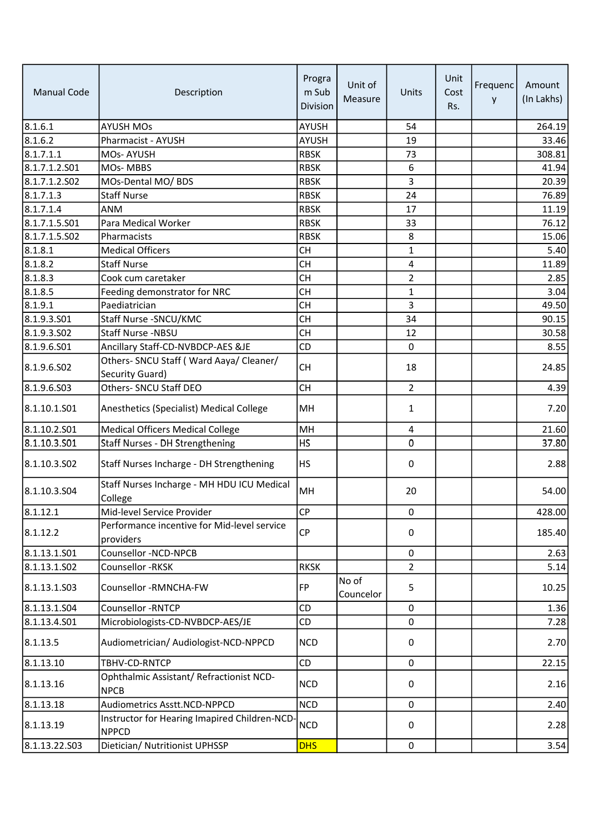| <b>Manual Code</b> | Description                                                  | Progra<br>m Sub<br><b>Division</b> | Unit of<br>Measure | Units          | Unit<br>Cost<br>Rs. | Frequenc<br>y | Amount<br>(In Lakhs) |
|--------------------|--------------------------------------------------------------|------------------------------------|--------------------|----------------|---------------------|---------------|----------------------|
| 8.1.6.1            | <b>AYUSH MOs</b>                                             | <b>AYUSH</b>                       |                    | 54             |                     |               | 264.19               |
| 8.1.6.2            | Pharmacist - AYUSH                                           | <b>AYUSH</b>                       |                    | 19             |                     |               | 33.46                |
| 8.1.7.1.1          | MOs-AYUSH                                                    | <b>RBSK</b>                        |                    | 73             |                     |               | 308.81               |
| 8.1.7.1.2.501      | MOs-MBBS                                                     | <b>RBSK</b>                        |                    | 6              |                     |               | 41.94                |
| 8.1.7.1.2.502      | MOs-Dental MO/ BDS                                           | <b>RBSK</b>                        |                    | 3              |                     |               | 20.39                |
| 8.1.7.1.3          | <b>Staff Nurse</b>                                           | <b>RBSK</b>                        |                    | 24             |                     |               | 76.89                |
| 8.1.7.1.4          | <b>ANM</b>                                                   | <b>RBSK</b>                        |                    | 17             |                     |               | 11.19                |
| 8.1.7.1.5.S01      | Para Medical Worker                                          | <b>RBSK</b>                        |                    | 33             |                     |               | 76.12                |
| 8.1.7.1.5.S02      | Pharmacists                                                  | <b>RBSK</b>                        |                    | 8              |                     |               | 15.06                |
| 8.1.8.1            | <b>Medical Officers</b>                                      | <b>CH</b>                          |                    | 1              |                     |               | 5.40                 |
| 8.1.8.2            | <b>Staff Nurse</b>                                           | <b>CH</b>                          |                    | 4              |                     |               | 11.89                |
| 8.1.8.3            | Cook cum caretaker                                           | <b>CH</b>                          |                    | $\overline{2}$ |                     |               | 2.85                 |
| 8.1.8.5            | Feeding demonstrator for NRC                                 | <b>CH</b>                          |                    | 1              |                     |               | 3.04                 |
| 8.1.9.1            | Paediatrician                                                | <b>CH</b>                          |                    | 3              |                     |               | 49.50                |
| 8.1.9.3.501        | Staff Nurse - SNCU/KMC                                       | <b>CH</b>                          |                    | 34             |                     |               | 90.15                |
| 8.1.9.3.502        | Staff Nurse -NBSU                                            | <b>CH</b>                          |                    | 12             |                     |               | 30.58                |
| 8.1.9.6.S01        | Ancillary Staff-CD-NVBDCP-AES &JE                            | CD                                 |                    | 0              |                     |               | 8.55                 |
| 8.1.9.6.502        | Others- SNCU Staff (Ward Aaya/ Cleaner/<br>Security Guard)   | <b>CH</b>                          |                    | 18             |                     |               | 24.85                |
| 8.1.9.6.503        | Others- SNCU Staff DEO                                       | <b>CH</b>                          |                    | $\overline{2}$ |                     |               | 4.39                 |
| 8.1.10.1.501       | Anesthetics (Specialist) Medical College                     | MH                                 |                    | 1              |                     |               | 7.20                 |
| 8.1.10.2.501       | <b>Medical Officers Medical College</b>                      | MH                                 |                    | 4              |                     |               | 21.60                |
| 8.1.10.3.501       | Staff Nurses - DH Strengthening                              | <b>HS</b>                          |                    | 0              |                     |               | 37.80                |
| 8.1.10.3.S02       | Staff Nurses Incharge - DH Strengthening                     | <b>HS</b>                          |                    | 0              |                     |               | 2.88                 |
| 8.1.10.3.504       | Staff Nurses Incharge - MH HDU ICU Medical<br>College        | MH                                 |                    | 20             |                     |               | 54.00                |
| 8.1.12.1           | Mid-level Service Provider                                   | <b>CP</b>                          |                    | 0              |                     |               | 428.00               |
| 8.1.12.2           | Performance incentive for Mid-level service<br>providers     | <b>CP</b>                          |                    | 0              |                     |               | 185.40               |
| 8.1.13.1.501       | Counsellor -NCD-NPCB                                         |                                    |                    | 0              |                     |               | 2.63                 |
| 8.1.13.1.502       | Counsellor -RKSK                                             | <b>RKSK</b>                        |                    | $\overline{2}$ |                     |               | 5.14                 |
| 8.1.13.1.503       | Counsellor -RMNCHA-FW                                        | FP                                 | No of<br>Councelor | 5              |                     |               | 10.25                |
| 8.1.13.1.504       | Counsellor - RNTCP                                           | CD                                 |                    | 0              |                     |               | 1.36                 |
| 8.1.13.4.S01       | Microbiologists-CD-NVBDCP-AES/JE                             | CD                                 |                    | 0              |                     |               | 7.28                 |
| 8.1.13.5           | Audiometrician/ Audiologist-NCD-NPPCD                        | <b>NCD</b>                         |                    | 0              |                     |               | 2.70                 |
| 8.1.13.10          | TBHV-CD-RNTCP                                                | CD                                 |                    | 0              |                     |               | 22.15                |
| 8.1.13.16          | Ophthalmic Assistant/ Refractionist NCD-<br><b>NPCB</b>      | <b>NCD</b>                         |                    | 0              |                     |               | 2.16                 |
| 8.1.13.18          | Audiometrics Asstt.NCD-NPPCD                                 | <b>NCD</b>                         |                    | $\mathbf 0$    |                     |               | 2.40                 |
| 8.1.13.19          | Instructor for Hearing Imapired Children-NCD<br><b>NPPCD</b> | <b>NCD</b>                         |                    | 0              |                     |               | 2.28                 |
| 8.1.13.22.503      | Dietician/ Nutritionist UPHSSP                               | <b>DHS</b>                         |                    | $\mathsf 0$    |                     |               | 3.54                 |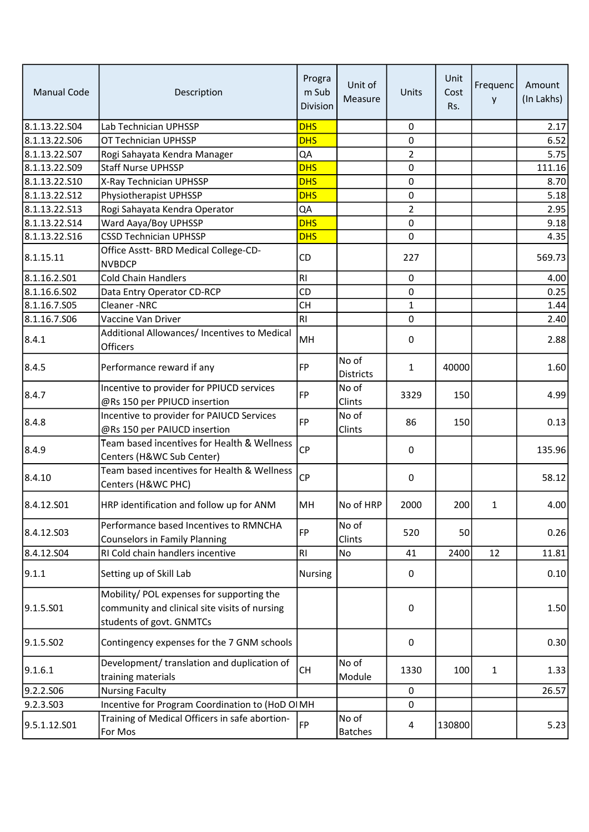| <b>Manual Code</b> | Description                                                                                                            | Progra<br>m Sub<br>Division | Unit of<br>Measure        | Units          | Unit<br>Cost<br>Rs. | Frequenc<br>у | Amount<br>(In Lakhs) |
|--------------------|------------------------------------------------------------------------------------------------------------------------|-----------------------------|---------------------------|----------------|---------------------|---------------|----------------------|
| 8.1.13.22.S04      | Lab Technician UPHSSP                                                                                                  | <b>DHS</b>                  |                           | $\pmb{0}$      |                     |               | 2.17                 |
| 8.1.13.22.506      | OT Technician UPHSSP                                                                                                   | <b>DHS</b>                  |                           | 0              |                     |               | 6.52                 |
| 8.1.13.22.S07      | Rogi Sahayata Kendra Manager                                                                                           | QA                          |                           | $\overline{2}$ |                     |               | 5.75                 |
| 8.1.13.22.S09      | <b>Staff Nurse UPHSSP</b>                                                                                              | <b>DHS</b>                  |                           | 0              |                     |               | 111.16               |
| 8.1.13.22.S10      | X-Ray Technician UPHSSP                                                                                                | <b>DHS</b>                  |                           | 0              |                     |               | 8.70                 |
| 8.1.13.22.S12      | Physiotherapist UPHSSP                                                                                                 | <b>DHS</b>                  |                           | 0              |                     |               | 5.18                 |
| 8.1.13.22.S13      | Rogi Sahayata Kendra Operator                                                                                          | QA                          |                           | $\overline{2}$ |                     |               | 2.95                 |
| 8.1.13.22.514      | Ward Aaya/Boy UPHSSP                                                                                                   | <b>DHS</b>                  |                           | 0              |                     |               | 9.18                 |
| 8.1.13.22.S16      | <b>CSSD Technician UPHSSP</b>                                                                                          | <b>DHS</b>                  |                           | $\mathbf 0$    |                     |               | 4.35                 |
| 8.1.15.11          | Office Asstt- BRD Medical College-CD-<br><b>NVBDCP</b>                                                                 | CD                          |                           | 227            |                     |               | 569.73               |
| 8.1.16.2.S01       | <b>Cold Chain Handlers</b>                                                                                             | RI                          |                           | $\pmb{0}$      |                     |               | 4.00                 |
| 8.1.16.6.S02       | Data Entry Operator CD-RCP                                                                                             | <b>CD</b>                   |                           | 0              |                     |               | 0.25                 |
| 8.1.16.7.S05       | Cleaner-NRC                                                                                                            | <b>CH</b>                   |                           | $\mathbf{1}$   |                     |               | 1.44                 |
| 8.1.16.7.S06       | Vaccine Van Driver                                                                                                     | RI                          |                           | 0              |                     |               | 2.40                 |
| 8.4.1              | Additional Allowances/ Incentives to Medical<br>Officers                                                               | MH                          |                           | 0              |                     |               | 2.88                 |
| 8.4.5              | Performance reward if any                                                                                              | <b>FP</b>                   | No of<br><b>Districts</b> | $\mathbf{1}$   | 40000               |               | 1.60                 |
| 8.4.7              | Incentive to provider for PPIUCD services<br>@Rs 150 per PPIUCD insertion                                              | <b>FP</b>                   | No of<br>Clints           | 3329           | 150                 |               | 4.99                 |
| 8.4.8              | Incentive to provider for PAIUCD Services<br>@Rs 150 per PAIUCD insertion                                              | <b>FP</b>                   | No of<br>Clints           | 86             | 150                 |               | 0.13                 |
| 8.4.9              | Team based incentives for Health & Wellness<br>Centers (H&WC Sub Center)                                               | <b>CP</b>                   |                           | 0              |                     |               | 135.96               |
| 8.4.10             | Team based incentives for Health & Wellness<br>Centers (H&WC PHC)                                                      | <b>CP</b>                   |                           | 0              |                     |               | 58.12                |
| 8.4.12.501         | HRP identification and follow up for ANM                                                                               | MH                          | No of HRP                 | 2000           | 200                 | 1             | 4.00                 |
| 8.4.12.503         | Performance based Incentives to RMNCHA<br><b>Counselors in Family Planning</b>                                         | <b>FP</b>                   | No of<br>Clints           | 520            | 50                  |               | 0.26                 |
| 8.4.12.504         | RI Cold chain handlers incentive                                                                                       | RI                          | No                        | 41             | 2400                | 12            | 11.81                |
| 9.1.1              | Setting up of Skill Lab                                                                                                | <b>Nursing</b>              |                           | 0              |                     |               | 0.10                 |
| 9.1.5.501          | Mobility/ POL expenses for supporting the<br>community and clinical site visits of nursing<br>students of govt. GNMTCs |                             |                           | $\pmb{0}$      |                     |               | 1.50                 |
| 9.1.5.502          | Contingency expenses for the 7 GNM schools                                                                             |                             |                           | 0              |                     |               | 0.30                 |
| 9.1.6.1            | Development/ translation and duplication of<br>training materials                                                      | <b>CH</b>                   | No of<br>Module           | 1330           | 100                 | $\mathbf{1}$  | 1.33                 |
| 9.2.2.S06          | <b>Nursing Faculty</b>                                                                                                 |                             |                           | $\mathbf 0$    |                     |               | 26.57                |
| 9.2.3.503          | Incentive for Program Coordination to (HoD OIMH                                                                        |                             |                           | 0              |                     |               |                      |
| 9.5.1.12.S01       | Training of Medical Officers in safe abortion-<br>For Mos                                                              | FP                          | No of<br><b>Batches</b>   | 4              | 130800              |               | 5.23                 |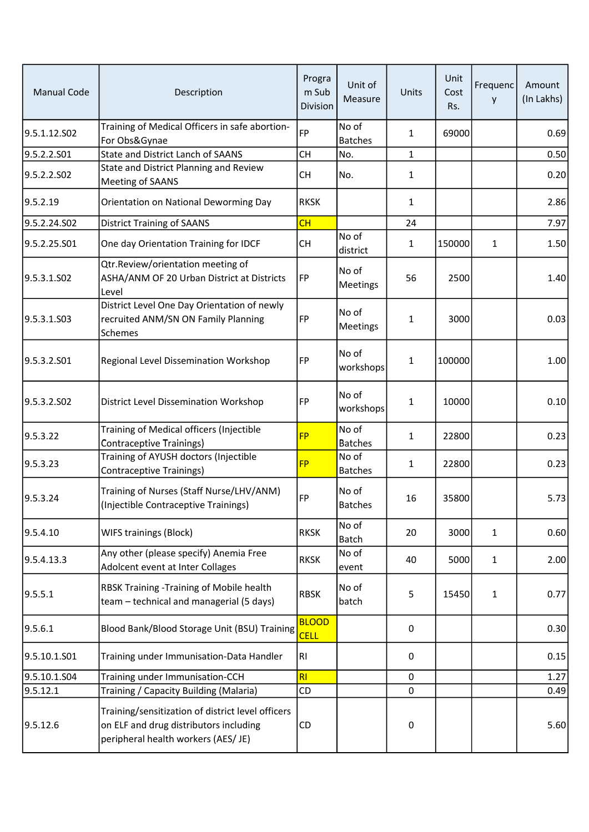| <b>Manual Code</b>      | Description                                                                                                                        | Progra<br>m Sub<br>Division | Unit of<br>Measure       | Units        | Unit<br>Cost<br>Rs. | Frequenc<br>у | Amount<br>(In Lakhs) |
|-------------------------|------------------------------------------------------------------------------------------------------------------------------------|-----------------------------|--------------------------|--------------|---------------------|---------------|----------------------|
| 9.5.1.12.S02            | Training of Medical Officers in safe abortion-<br>For Obs&Gynae                                                                    | <b>FP</b>                   | No of<br><b>Batches</b>  | 1            | 69000               |               | 0.69                 |
| 9.5.2.2.S01             | <b>State and District Lanch of SAANS</b>                                                                                           | <b>CH</b>                   | No.                      | $\mathbf 1$  |                     |               | 0.50                 |
| 9.5.2.2.S02             | State and District Planning and Review<br>Meeting of SAANS                                                                         | <b>CH</b>                   | No.                      | 1            |                     |               | 0.20                 |
| 9.5.2.19                | Orientation on National Deworming Day                                                                                              | <b>RKSK</b>                 |                          | 1            |                     |               | 2.86                 |
| 9.5.2.24.S02            | <b>District Training of SAANS</b>                                                                                                  | CH                          |                          | 24           |                     |               | 7.97                 |
| 9.5.2.25.S01            | One day Orientation Training for IDCF                                                                                              | <b>CH</b>                   | No of<br>district        | 1            | 150000              | $\mathbf{1}$  | 1.50                 |
| 9.5.3.1.SO2             | Qtr.Review/orientation meeting of<br>ASHA/ANM OF 20 Urban District at Districts<br>Level                                           | FP                          | No of<br><b>Meetings</b> | 56           | 2500                |               | 1.40                 |
| 9.5.3.1.503             | District Level One Day Orientation of newly<br>recruited ANM/SN ON Family Planning<br>Schemes                                      | FP                          | No of<br><b>Meetings</b> | 1            | 3000                |               | 0.03                 |
| 9.5.3.2.501             | Regional Level Dissemination Workshop                                                                                              | FP                          | No of<br>workshops       | 1            | 100000              |               | 1.00                 |
| 9.5.3.2.SO <sub>2</sub> | District Level Dissemination Workshop                                                                                              | FP                          | No of<br>workshops       | 1            | 10000               |               | 0.10                 |
| 9.5.3.22                | Training of Medical officers (Injectible<br>Contraceptive Trainings)                                                               | <b>FP</b>                   | No of<br><b>Batches</b>  | $\mathbf{1}$ | 22800               |               | 0.23                 |
| 9.5.3.23                | Training of AYUSH doctors (Injectible<br><b>Contraceptive Trainings)</b>                                                           | <b>FP</b>                   | No of<br><b>Batches</b>  | 1            | 22800               |               | 0.23                 |
| 9.5.3.24                | Training of Nurses (Staff Nurse/LHV/ANM)<br>(Injectible Contraceptive Trainings)                                                   | FP                          | No of<br><b>Batches</b>  | 16           | 35800               |               | 5.73                 |
| 9.5.4.10                | WIFS trainings (Block)                                                                                                             | <b>RKSK</b>                 | No of<br><b>Batch</b>    | 20           | 3000                | $\mathbf{1}$  | 0.60                 |
| 9.5.4.13.3              | Any other (please specify) Anemia Free<br>Adolcent event at Inter Collages                                                         | <b>RKSK</b>                 | No of<br>event           | 40           | 5000                | $\mathbf{1}$  | 2.00                 |
| 9.5.5.1                 | RBSK Training - Training of Mobile health<br>team - technical and managerial (5 days)                                              | <b>RBSK</b>                 | No of<br>batch           | 5            | 15450               | 1             | 0.77                 |
| 9.5.6.1                 | Blood Bank/Blood Storage Unit (BSU) Training                                                                                       | <b>BLOOD</b><br><b>CELL</b> |                          | 0            |                     |               | 0.30                 |
| 9.5.10.1.S01            | Training under Immunisation-Data Handler                                                                                           | RI                          |                          | 0            |                     |               | 0.15                 |
| 9.5.10.1.S04            | Training under Immunisation-CCH                                                                                                    | RI                          |                          | 0            |                     |               | 1.27                 |
| 9.5.12.1                | Training / Capacity Building (Malaria)                                                                                             | CD                          |                          | 0            |                     |               | 0.49                 |
| 9.5.12.6                | Training/sensitization of district level officers<br>on ELF and drug distributors including<br>peripheral health workers (AES/ JE) | CD                          |                          | 0            |                     |               | 5.60                 |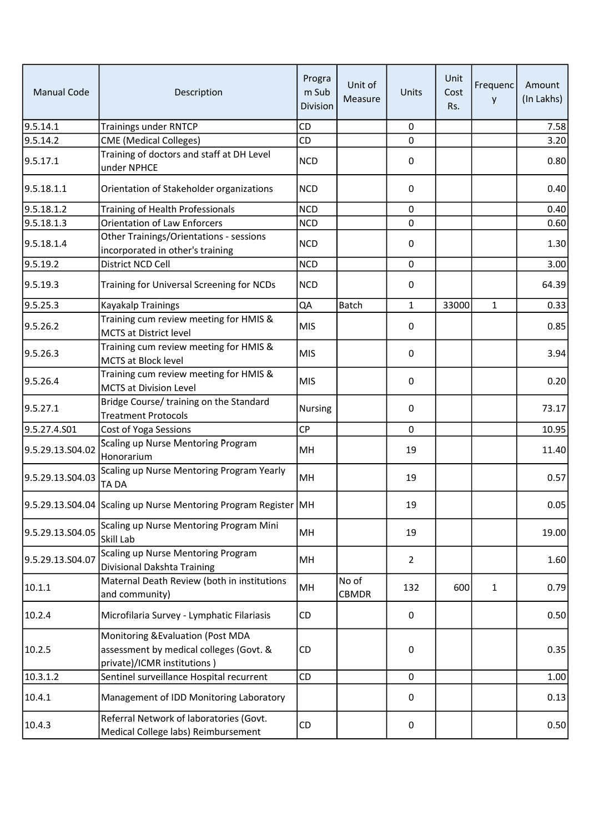| <b>Manual Code</b> | Description                                                                                                 | Progra<br>m Sub<br>Division | Unit of<br>Measure    | Units          | Unit<br>Cost<br>Rs. | Frequenc<br>у | Amount<br>(In Lakhs) |
|--------------------|-------------------------------------------------------------------------------------------------------------|-----------------------------|-----------------------|----------------|---------------------|---------------|----------------------|
| 9.5.14.1           | <b>Trainings under RNTCP</b>                                                                                | CD                          |                       | $\pmb{0}$      |                     |               | 7.58                 |
| 9.5.14.2           | <b>CME</b> (Medical Colleges)                                                                               | CD                          |                       | 0              |                     |               | 3.20                 |
| 9.5.17.1           | Training of doctors and staff at DH Level<br>under NPHCE                                                    | <b>NCD</b>                  |                       | 0              |                     |               | 0.80                 |
| 9.5.18.1.1         | Orientation of Stakeholder organizations                                                                    | <b>NCD</b>                  |                       | 0              |                     |               | 0.40                 |
| 9.5.18.1.2         | Training of Health Professionals                                                                            | <b>NCD</b>                  |                       | $\pmb{0}$      |                     |               | 0.40                 |
| 9.5.18.1.3         | <b>Orientation of Law Enforcers</b>                                                                         | <b>NCD</b>                  |                       | 0              |                     |               | 0.60                 |
| 9.5.18.1.4         | Other Trainings/Orientations - sessions<br>incorporated in other's training                                 | <b>NCD</b>                  |                       | 0              |                     |               | 1.30                 |
| 9.5.19.2           | District NCD Cell                                                                                           | <b>NCD</b>                  |                       | 0              |                     |               | 3.00                 |
| 9.5.19.3           | Training for Universal Screening for NCDs                                                                   | <b>NCD</b>                  |                       | 0              |                     |               | 64.39                |
| 9.5.25.3           | Kayakalp Trainings                                                                                          | QA                          | <b>Batch</b>          | $\mathbf{1}$   | 33000               | $\mathbf{1}$  | 0.33                 |
| 9.5.26.2           | Training cum review meeting for HMIS &<br><b>MCTS at District level</b>                                     | <b>MIS</b>                  |                       | 0              |                     |               | 0.85                 |
| 9.5.26.3           | Training cum review meeting for HMIS &<br><b>MCTS at Block level</b>                                        | <b>MIS</b>                  |                       | 0              |                     |               | 3.94                 |
| 9.5.26.4           | Training cum review meeting for HMIS &<br><b>MCTS at Division Level</b>                                     | <b>MIS</b>                  |                       | 0              |                     |               | 0.20                 |
| 9.5.27.1           | Bridge Course/ training on the Standard<br><b>Treatment Protocols</b>                                       | Nursing                     |                       | 0              |                     |               | 73.17                |
| 9.5.27.4.S01       | Cost of Yoga Sessions                                                                                       | CP                          |                       | $\mathbf 0$    |                     |               | 10.95                |
| 9.5.29.13.S04.02   | Scaling up Nurse Mentoring Program<br>Honorarium                                                            | MH                          |                       | 19             |                     |               | 11.40                |
| 9.5.29.13.S04.03   | Scaling up Nurse Mentoring Program Yearly<br>TA DA                                                          | MH                          |                       | 19             |                     |               | 0.57                 |
|                    | 9.5.29.13.S04.04 Scaling up Nurse Mentoring Program Register   MH                                           |                             |                       | 19             |                     |               | 0.051                |
| 9.5.29.13.S04.05   | Scaling up Nurse Mentoring Program Mini<br>Skill Lab                                                        | MH                          |                       | 19             |                     |               | 19.00                |
| 9.5.29.13.S04.07   | Scaling up Nurse Mentoring Program<br>Divisional Dakshta Training                                           | MH                          |                       | $\overline{2}$ |                     |               | 1.60                 |
| 10.1.1             | Maternal Death Review (both in institutions<br>and community)                                               | MH                          | No of<br><b>CBMDR</b> | 132            | 600                 | $\mathbf{1}$  | 0.79                 |
| 10.2.4             | Microfilaria Survey - Lymphatic Filariasis                                                                  | CD                          |                       | 0              |                     |               | 0.50                 |
| 10.2.5             | Monitoring & Evaluation (Post MDA<br>assessment by medical colleges (Govt. &<br>private)/ICMR institutions) | CD                          |                       | 0              |                     |               | 0.35                 |
| 10.3.1.2           | Sentinel surveillance Hospital recurrent                                                                    | CD                          |                       | 0              |                     |               | 1.00                 |
| 10.4.1             | Management of IDD Monitoring Laboratory                                                                     |                             |                       | 0              |                     |               | 0.13                 |
| 10.4.3             | Referral Network of laboratories (Govt.<br>Medical College labs) Reimbursement                              | CD                          |                       | 0              |                     |               | 0.50                 |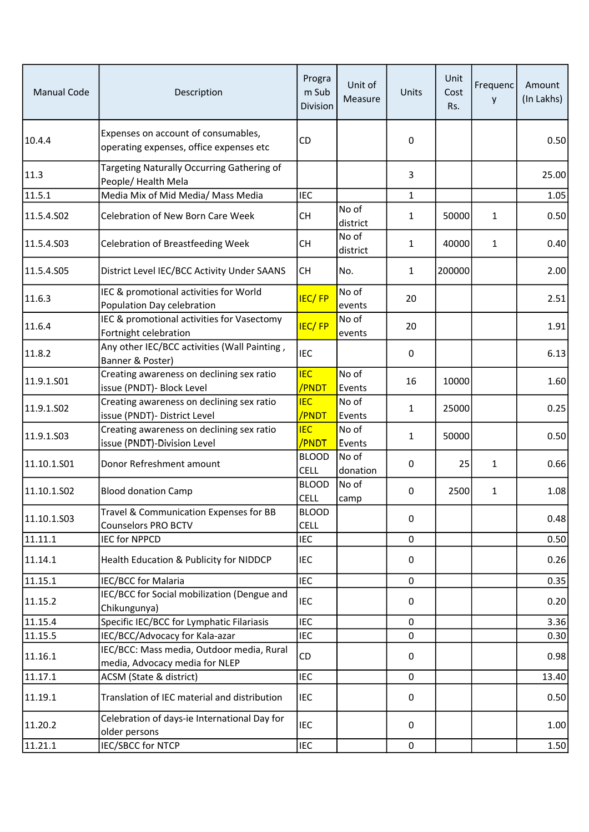| <b>Manual Code</b> | Description                                                                    | Progra<br>m Sub<br>Division | Unit of<br>Measure | Units        | Unit<br>Cost<br>Rs. | Frequenc<br>y | Amount<br>(In Lakhs) |
|--------------------|--------------------------------------------------------------------------------|-----------------------------|--------------------|--------------|---------------------|---------------|----------------------|
| 10.4.4             | Expenses on account of consumables,<br>operating expenses, office expenses etc | CD                          |                    | 0            |                     |               | 0.50                 |
| 11.3               | Targeting Naturally Occurring Gathering of<br>People/ Health Mela              |                             |                    | 3            |                     |               | 25.00                |
| 11.5.1             | Media Mix of Mid Media/ Mass Media                                             | <b>IEC</b>                  |                    | 1            |                     |               | 1.05                 |
| 11.5.4.502         | Celebration of New Born Care Week                                              | CH                          | No of<br>district  | $\mathbf{1}$ | 50000               | $\mathbf{1}$  | 0.50                 |
| 11.5.4.503         | <b>Celebration of Breastfeeding Week</b>                                       | <b>CH</b>                   | No of<br>district  | 1            | 40000               | $\mathbf{1}$  | 0.40                 |
| 11.5.4.S05         | District Level IEC/BCC Activity Under SAANS                                    | <b>CH</b>                   | No.                | $\mathbf{1}$ | 200000              |               | 2.00                 |
| 11.6.3             | IEC & promotional activities for World<br>Population Day celebration           | <b>IEC/FP</b>               | No of<br>events    | 20           |                     |               | 2.51                 |
| 11.6.4             | IEC & promotional activities for Vasectomy<br>Fortnight celebration            | <b>IEC/FP</b>               | No of<br>events    | 20           |                     |               | 1.91                 |
| 11.8.2             | Any other IEC/BCC activities (Wall Painting,<br>Banner & Poster)               | <b>IEC</b>                  |                    | 0            |                     |               | 6.13                 |
| 11.9.1.S01         | Creating awareness on declining sex ratio<br>issue (PNDT)- Block Level         | <b>IEC</b><br>/PNDT         | No of<br>Events    | 16           | 10000               |               | 1.60                 |
| 11.9.1.SO2         | Creating awareness on declining sex ratio<br>issue (PNDT)- District Level      | <b>IEC</b><br>/PNDT         | No of<br>Events    | 1            | 25000               |               | 0.25                 |
| 11.9.1.503         | Creating awareness on declining sex ratio<br>issue (PNDT)-Division Level       | <b>IEC</b><br>/PNDT         | No of<br>Events    | $\mathbf{1}$ | 50000               |               | 0.50                 |
| 11.10.1.501        | Donor Refreshment amount                                                       | <b>BLOOD</b><br><b>CELL</b> | No of<br>donation  | 0            | 25                  | 1             | 0.66                 |
| 11.10.1.502        | <b>Blood donation Camp</b>                                                     | <b>BLOOD</b><br><b>CELL</b> | No of<br>camp      | 0            | 2500                | $\mathbf{1}$  | 1.08                 |
| 11.10.1.503        | Travel & Communication Expenses for BB<br><b>Counselors PRO BCTV</b>           | <b>BLOOD</b><br><b>CELL</b> |                    | 0            |                     |               | 0.48                 |
| 11.11.1            | IEC for NPPCD                                                                  | <b>IEC</b>                  |                    | 0            |                     |               | 0.50                 |
| 11.14.1            | Health Education & Publicity for NIDDCP                                        | <b>IEC</b>                  |                    | 0            |                     |               | 0.26                 |
| 11.15.1            | IEC/BCC for Malaria                                                            | IEC                         |                    | 0            |                     |               | 0.35                 |
| 11.15.2            | IEC/BCC for Social mobilization (Dengue and<br>Chikungunya)                    | IEC                         |                    | 0            |                     |               | 0.20                 |
| 11.15.4            | Specific IEC/BCC for Lymphatic Filariasis                                      | <b>IEC</b>                  |                    | 0            |                     |               | 3.36                 |
| 11.15.5            | IEC/BCC/Advocacy for Kala-azar                                                 | <b>IEC</b>                  |                    | 0            |                     |               | 0.30                 |
| 11.16.1            | IEC/BCC: Mass media, Outdoor media, Rural<br>media, Advocacy media for NLEP    | CD                          |                    | 0            |                     |               | 0.98                 |
| 11.17.1            | ACSM (State & district)                                                        | <b>IEC</b>                  |                    | 0            |                     |               | 13.40                |
| 11.19.1            | Translation of IEC material and distribution                                   | <b>IEC</b>                  |                    | $\pmb{0}$    |                     |               | 0.50                 |
| 11.20.2            | Celebration of days-ie International Day for<br>older persons                  | <b>IEC</b>                  |                    | 0            |                     |               | 1.00                 |
| 11.21.1            | IEC/SBCC for NTCP                                                              | <b>IEC</b>                  |                    | $\pmb{0}$    |                     |               | 1.50                 |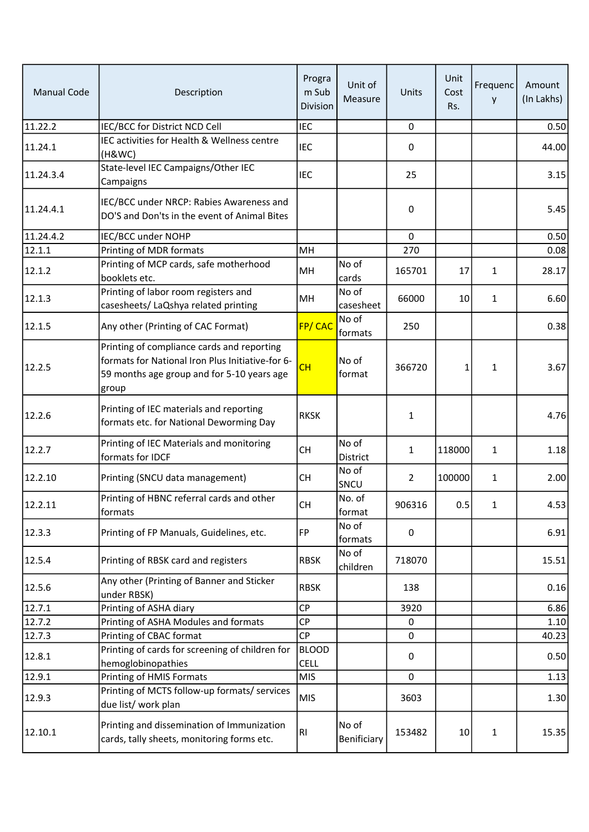| <b>Manual Code</b> | Description                                                                                                                                           | Progra<br>m Sub<br>Division | Unit of<br>Measure   | Units          | Unit<br>Cost<br>Rs. | Frequenc<br>у | Amount<br>(In Lakhs) |
|--------------------|-------------------------------------------------------------------------------------------------------------------------------------------------------|-----------------------------|----------------------|----------------|---------------------|---------------|----------------------|
| 11.22.2            | IEC/BCC for District NCD Cell                                                                                                                         | <b>IEC</b>                  |                      | $\mathbf 0$    |                     |               | 0.50                 |
| 11.24.1            | IEC activities for Health & Wellness centre<br>(H&WC)                                                                                                 | <b>IEC</b>                  |                      | 0              |                     |               | 44.00                |
| 11.24.3.4          | State-level IEC Campaigns/Other IEC<br>Campaigns                                                                                                      | <b>IEC</b>                  |                      | 25             |                     |               | 3.15                 |
| 11.24.4.1          | IEC/BCC under NRCP: Rabies Awareness and<br>DO'S and Don'ts in the event of Animal Bites                                                              |                             |                      | 0              |                     |               | 5.45                 |
| 11.24.4.2          | IEC/BCC under NOHP                                                                                                                                    |                             |                      | $\mathbf 0$    |                     |               | 0.50                 |
| 12.1.1             | Printing of MDR formats                                                                                                                               | MH                          |                      | 270            |                     |               | 0.08                 |
| 12.1.2             | Printing of MCP cards, safe motherhood<br>booklets etc.                                                                                               | MH                          | No of<br>cards       | 165701         | 17                  | $\mathbf{1}$  | 28.17                |
| 12.1.3             | Printing of labor room registers and<br>casesheets/ LaQshya related printing                                                                          | MH                          | No of<br>casesheet   | 66000          | 10                  | 1             | 6.60                 |
| 12.1.5             | Any other (Printing of CAC Format)                                                                                                                    | FP/CAC                      | No of<br>formats     | 250            |                     |               | 0.38                 |
| 12.2.5             | Printing of compliance cards and reporting<br>formats for National Iron Plus Initiative-for 6-<br>59 months age group and for 5-10 years age<br>group | CH                          | No of<br>format      | 366720         | 1                   | $\mathbf{1}$  | 3.67                 |
| 12.2.6             | Printing of IEC materials and reporting<br>formats etc. for National Deworming Day                                                                    | <b>RKSK</b>                 |                      | 1              |                     |               | 4.76                 |
| 12.2.7             | Printing of IEC Materials and monitoring<br>formats for IDCF                                                                                          | <b>CH</b>                   | No of<br>District    | $\mathbf{1}$   | 118000              | $\mathbf{1}$  | 1.18                 |
| 12.2.10            | Printing (SNCU data management)                                                                                                                       | <b>CH</b>                   | No of<br>SNCU        | $\overline{2}$ | 100000              | $\mathbf{1}$  | 2.00                 |
| 12.2.11            | Printing of HBNC referral cards and other<br>formats                                                                                                  | <b>CH</b>                   | No. of<br>format     | 906316         | 0.5                 | 1             | 4.53                 |
| 12.3.3             | Printing of FP Manuals, Guidelines, etc.                                                                                                              | FP                          | No of<br>formats     | 0              |                     |               | 6.91                 |
| 12.5.4             | Printing of RBSK card and registers                                                                                                                   | <b>RBSK</b>                 | No of<br>children    | 718070         |                     |               | 15.51                |
| 12.5.6             | Any other (Printing of Banner and Sticker<br>under RBSK)                                                                                              | <b>RBSK</b>                 |                      | 138            |                     |               | 0.16                 |
| 12.7.1             | Printing of ASHA diary                                                                                                                                | <b>CP</b>                   |                      | 3920           |                     |               | 6.86                 |
| 12.7.2             | Printing of ASHA Modules and formats                                                                                                                  | <b>CP</b>                   |                      | 0              |                     |               | 1.10                 |
| 12.7.3             | Printing of CBAC format                                                                                                                               | <b>CP</b>                   |                      | 0              |                     |               | 40.23                |
| 12.8.1             | Printing of cards for screening of children for<br>hemoglobinopathies                                                                                 | <b>BLOOD</b><br><b>CELL</b> |                      | 0              |                     |               | 0.50                 |
| 12.9.1             | Printing of HMIS Formats                                                                                                                              | <b>MIS</b>                  |                      | $\mathbf 0$    |                     |               | 1.13                 |
| 12.9.3             | Printing of MCTS follow-up formats/ services<br>due list/ work plan                                                                                   | <b>MIS</b>                  |                      | 3603           |                     |               | 1.30                 |
| 12.10.1            | Printing and dissemination of Immunization<br>cards, tally sheets, monitoring forms etc.                                                              | RI                          | No of<br>Benificiary | 153482         | 10                  | 1             | 15.35                |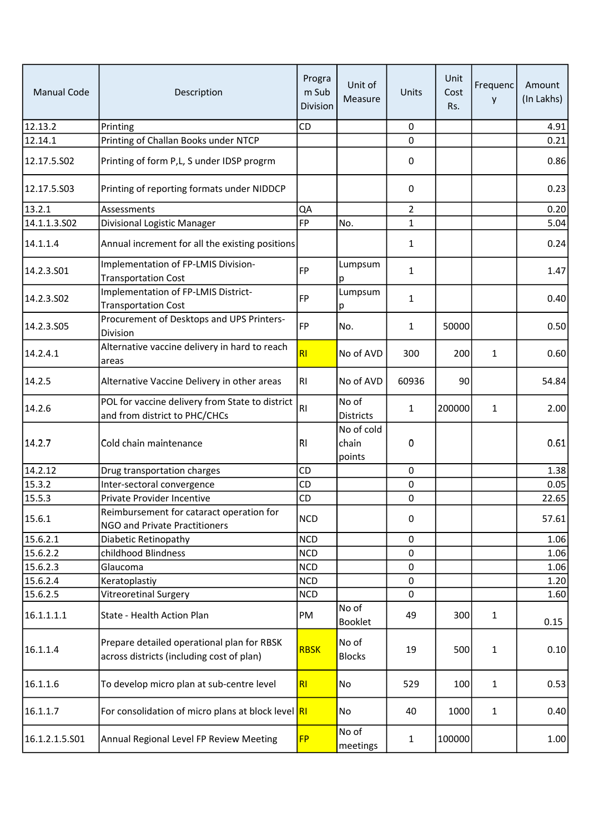| <b>Manual Code</b> | Description                                                                             | Progra<br>m Sub<br>Division | Unit of<br>Measure            | Units          | Unit<br>Cost<br>Rs. | Frequenc<br>y | Amount<br>(In Lakhs) |
|--------------------|-----------------------------------------------------------------------------------------|-----------------------------|-------------------------------|----------------|---------------------|---------------|----------------------|
| 12.13.2            | Printing                                                                                | CD                          |                               | $\mathbf 0$    |                     |               | 4.91                 |
| 12.14.1            | Printing of Challan Books under NTCP                                                    |                             |                               | 0              |                     |               | 0.21                 |
| 12.17.5.S02        | Printing of form P,L, S under IDSP progrm                                               |                             |                               | 0              |                     |               | 0.86                 |
| 12.17.5.503        | Printing of reporting formats under NIDDCP                                              |                             |                               | 0              |                     |               | 0.23                 |
| 13.2.1             | Assessments                                                                             | QA                          |                               | $\overline{2}$ |                     |               | 0.20                 |
| 14.1.1.3.S02       | Divisional Logistic Manager                                                             | <b>FP</b>                   | No.                           | $\mathbf{1}$   |                     |               | 5.04                 |
| 14.1.1.4           | Annual increment for all the existing positions                                         |                             |                               | 1              |                     |               | 0.24                 |
| 14.2.3.501         | Implementation of FP-LMIS Division-<br><b>Transportation Cost</b>                       | <b>FP</b>                   | Lumpsum<br>р                  | 1              |                     |               | 1.47                 |
| 14.2.3.502         | Implementation of FP-LMIS District-<br><b>Transportation Cost</b>                       | <b>FP</b>                   | Lumpsum<br>р                  | 1              |                     |               | 0.40                 |
| 14.2.3.S05         | Procurement of Desktops and UPS Printers-<br>Division                                   | FP                          | No.                           | $\mathbf{1}$   | 50000               |               | 0.50                 |
| 14.2.4.1           | Alternative vaccine delivery in hard to reach<br>areas                                  | <b>RI</b>                   | No of AVD                     | 300            | 200                 | $\mathbf{1}$  | 0.60                 |
| 14.2.5             | Alternative Vaccine Delivery in other areas                                             | R <sub>l</sub>              | No of AVD                     | 60936          | 90                  |               | 54.84                |
| 14.2.6             | POL for vaccine delivery from State to district<br>and from district to PHC/CHCs        | <b>RI</b>                   | No of<br><b>Districts</b>     | 1              | 200000              | $\mathbf{1}$  | 2.00                 |
| 14.2.7             | Cold chain maintenance                                                                  | R1                          | No of cold<br>chain<br>points | 0              |                     |               | 0.61                 |
| 14.2.12            | Drug transportation charges                                                             | CD                          |                               | 0              |                     |               | 1.38                 |
| 15.3.2             | Inter-sectoral convergence                                                              | CD                          |                               | 0              |                     |               | 0.05                 |
| 15.5.3             | Private Provider Incentive                                                              | CD                          |                               | 0              |                     |               | 22.65                |
| 15.6.1             | Reimbursement for cataract operation for<br>NGO and Private Practitioners               | <b>NCD</b>                  |                               | 0              |                     |               | 57.61                |
| 15.6.2.1           | Diabetic Retinopathy                                                                    | <b>NCD</b>                  |                               | 0              |                     |               | 1.06                 |
| 15.6.2.2           | childhood Blindness                                                                     | <b>NCD</b>                  |                               | 0              |                     |               | 1.06                 |
| 15.6.2.3           | Glaucoma                                                                                | <b>NCD</b>                  |                               | 0              |                     |               | 1.06                 |
| 15.6.2.4           | Keratoplastiy                                                                           | <b>NCD</b>                  |                               | 0              |                     |               | 1.20                 |
| 15.6.2.5           | Vitreoretinal Surgery                                                                   | <b>NCD</b>                  |                               | 0              |                     |               | 1.60                 |
| 16.1.1.1.1         | State - Health Action Plan                                                              | PM                          | No of<br><b>Booklet</b>       | 49             | 300                 | $\mathbf{1}$  | 0.15                 |
| 16.1.1.4           | Prepare detailed operational plan for RBSK<br>across districts (including cost of plan) | <b>RBSK</b>                 | No of<br><b>Blocks</b>        | 19             | 500                 | $\mathbf{1}$  | 0.10                 |
| 16.1.1.6           | To develop micro plan at sub-centre level                                               | RI                          | No                            | 529            | 100                 | 1             | 0.53                 |
| 16.1.1.7           | For consolidation of micro plans at block level RI                                      |                             | No                            | 40             | 1000                | $\mathbf{1}$  | 0.40                 |
| 16.1.2.1.5.S01     | Annual Regional Level FP Review Meeting                                                 | <b>FP</b>                   | No of<br>meetings             | $\mathbf{1}$   | 100000              |               | 1.00                 |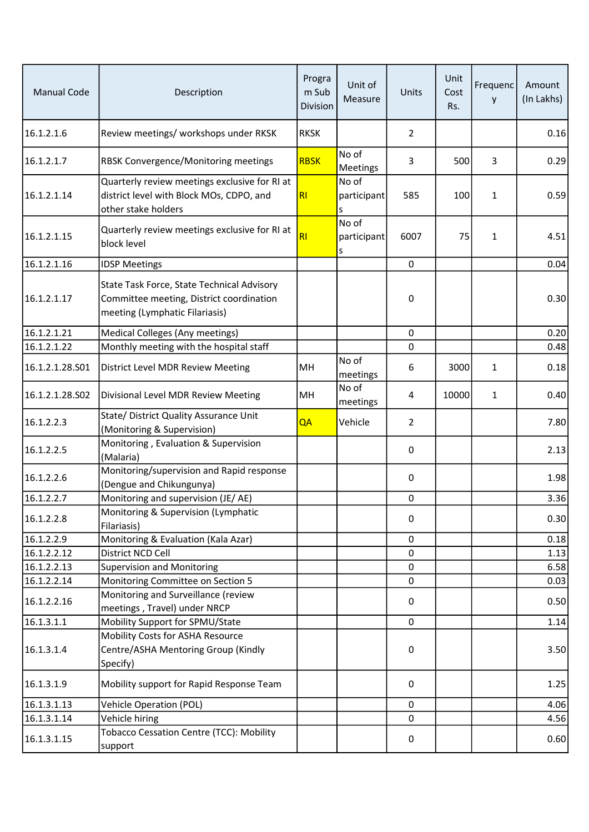| <b>Manual Code</b> | Description                                                                                                              | Progra<br>m Sub<br>Division | Unit of<br>Measure        | Units          | Unit<br>Cost<br>Rs. | Frequenc<br>y | Amount<br>(In Lakhs) |
|--------------------|--------------------------------------------------------------------------------------------------------------------------|-----------------------------|---------------------------|----------------|---------------------|---------------|----------------------|
| 16.1.2.1.6         | Review meetings/ workshops under RKSK                                                                                    | <b>RKSK</b>                 |                           | $\overline{2}$ |                     |               | 0.16                 |
| 16.1.2.1.7         | RBSK Convergence/Monitoring meetings                                                                                     | <b>RBSK</b>                 | No of<br>Meetings         | 3              | 500                 | 3             | 0.29                 |
| 16.1.2.1.14        | Quarterly review meetings exclusive for RI at<br>district level with Block MOs, CDPO, and<br>other stake holders         | R                           | No of<br>participant<br>S | 585            | 100                 | $\mathbf{1}$  | 0.59                 |
| 16.1.2.1.15        | Quarterly review meetings exclusive for RI at<br>block level                                                             | RI                          | No of<br>participant<br>s | 6007           | 75                  | $\mathbf{1}$  | 4.51                 |
| 16.1.2.1.16        | <b>IDSP Meetings</b>                                                                                                     |                             |                           | 0              |                     |               | 0.04                 |
| 16.1.2.1.17        | State Task Force, State Technical Advisory<br>Committee meeting, District coordination<br>meeting (Lymphatic Filariasis) |                             |                           | 0              |                     |               | 0.30                 |
| 16.1.2.1.21        | Medical Colleges (Any meetings)                                                                                          |                             |                           | 0              |                     |               | 0.20                 |
| 16.1.2.1.22        | Monthly meeting with the hospital staff                                                                                  |                             |                           | 0              |                     |               | 0.48                 |
| 16.1.2.1.28.501    | District Level MDR Review Meeting                                                                                        | MH                          | No of<br>meetings         | 6              | 3000                | 1             | 0.18                 |
| 16.1.2.1.28.502    | Divisional Level MDR Review Meeting                                                                                      | MH                          | No of<br>meetings         | 4              | 10000               | 1             | 0.40                 |
| 16.1.2.2.3         | State/ District Quality Assurance Unit<br>(Monitoring & Supervision)                                                     | QA                          | Vehicle                   | $\overline{2}$ |                     |               | 7.80                 |
| 16.1.2.2.5         | Monitoring, Evaluation & Supervision<br>(Malaria)                                                                        |                             |                           | 0              |                     |               | 2.13                 |
| 16.1.2.2.6         | Monitoring/supervision and Rapid response<br>(Dengue and Chikungunya)                                                    |                             |                           | 0              |                     |               | 1.98                 |
| 16.1.2.2.7         | Monitoring and supervision (JE/AE)                                                                                       |                             |                           | 0              |                     |               | 3.36                 |
| 16.1.2.2.8         | Monitoring & Supervision (Lymphatic<br>Filariasis)                                                                       |                             |                           | 0              |                     |               | 0.30                 |
| 16.1.2.2.9         | Monitoring & Evaluation (Kala Azar)                                                                                      |                             |                           | 0              |                     |               | 0.18                 |
| 16.1.2.2.12        | District NCD Cell                                                                                                        |                             |                           | 0              |                     |               | 1.13                 |
| 16.1.2.2.13        | <b>Supervision and Monitoring</b>                                                                                        |                             |                           | 0              |                     |               | 6.58                 |
| 16.1.2.2.14        | Monitoring Committee on Section 5                                                                                        |                             |                           | 0              |                     |               | 0.03                 |
| 16.1.2.2.16        | Monitoring and Surveillance (review<br>meetings, Travel) under NRCP                                                      |                             |                           | 0              |                     |               | 0.50                 |
| 16.1.3.1.1         | Mobility Support for SPMU/State                                                                                          |                             |                           | 0              |                     |               | 1.14                 |
| 16.1.3.1.4         | Mobility Costs for ASHA Resource<br>Centre/ASHA Mentoring Group (Kindly<br>Specify)                                      |                             |                           | 0              |                     |               | 3.50                 |
| 16.1.3.1.9         | Mobility support for Rapid Response Team                                                                                 |                             |                           | 0              |                     |               | 1.25                 |
| 16.1.3.1.13        | <b>Vehicle Operation (POL)</b>                                                                                           |                             |                           | 0              |                     |               | 4.06                 |
| 16.1.3.1.14        | Vehicle hiring                                                                                                           |                             |                           | 0              |                     |               | 4.56                 |
| 16.1.3.1.15        | <b>Tobacco Cessation Centre (TCC): Mobility</b><br>support                                                               |                             |                           | 0              |                     |               | 0.60                 |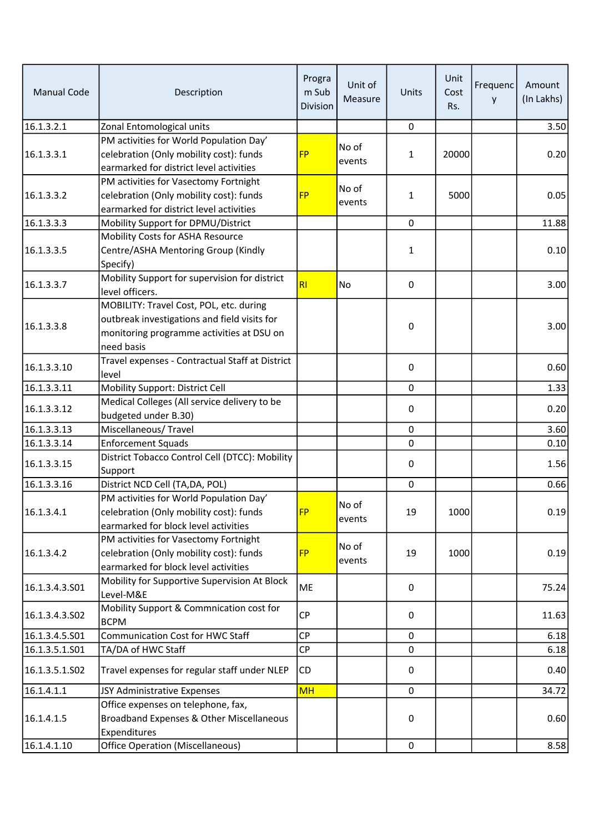| <b>Manual Code</b> | Description                                                                                                                                        | Progra<br>m Sub<br>Division | Unit of<br>Measure | Units       | Unit<br>Cost<br>Rs. | Frequenc<br>y | Amount<br>(In Lakhs) |
|--------------------|----------------------------------------------------------------------------------------------------------------------------------------------------|-----------------------------|--------------------|-------------|---------------------|---------------|----------------------|
| 16.1.3.2.1         | Zonal Entomological units                                                                                                                          |                             |                    | 0           |                     |               | 3.50                 |
| 16.1.3.3.1         | PM activities for World Population Day'<br>celebration (Only mobility cost): funds<br>earmarked for district level activities                      | <b>FP</b>                   | No of<br>events    | 1           | 20000               |               | 0.20                 |
| 16.1.3.3.2         | PM activities for Vasectomy Fortnight<br>celebration (Only mobility cost): funds<br>earmarked for district level activities                        | <b>FP</b>                   | No of<br>events    | 1           | 5000                |               | 0.05                 |
| 16.1.3.3.3         | Mobility Support for DPMU/District                                                                                                                 |                             |                    | 0           |                     |               | 11.88                |
| 16.1.3.3.5         | Mobility Costs for ASHA Resource<br>Centre/ASHA Mentoring Group (Kindly<br>Specify)                                                                |                             |                    | 1           |                     |               | 0.10                 |
| 16.1.3.3.7         | Mobility Support for supervision for district<br>level officers.                                                                                   | RI                          | <b>No</b>          | 0           |                     |               | 3.00                 |
| 16.1.3.3.8         | MOBILITY: Travel Cost, POL, etc. during<br>outbreak investigations and field visits for<br>monitoring programme activities at DSU on<br>need basis |                             |                    | 0           |                     |               | 3.00                 |
| 16.1.3.3.10        | Travel expenses - Contractual Staff at District<br>level                                                                                           |                             |                    | 0           |                     |               | 0.60                 |
| 16.1.3.3.11        | Mobility Support: District Cell                                                                                                                    |                             |                    | $\mathbf 0$ |                     |               | 1.33                 |
| 16.1.3.3.12        | Medical Colleges (All service delivery to be<br>budgeted under B.30)                                                                               |                             |                    | 0           |                     |               | 0.20                 |
| 16.1.3.3.13        | Miscellaneous/Travel                                                                                                                               |                             |                    | $\mathbf 0$ |                     |               | 3.60                 |
| 16.1.3.3.14        | <b>Enforcement Squads</b>                                                                                                                          |                             |                    | 0           |                     |               | 0.10                 |
| 16.1.3.3.15        | District Tobacco Control Cell (DTCC): Mobility<br>Support                                                                                          |                             |                    | 0           |                     |               | 1.56                 |
| 16.1.3.3.16        | District NCD Cell (TA, DA, POL)                                                                                                                    |                             |                    | 0           |                     |               | 0.66                 |
| 16.1.3.4.1         | PM activities for World Population Day'<br>celebration (Only mobility cost): funds<br>earmarked for block level activities                         | <b>FP</b>                   | No of<br>events    | 19          | 1000                |               | 0.19                 |
| 16.1.3.4.2         | PM activities for Vasectomy Fortnight<br>celebration (Only mobility cost): funds<br>earmarked for block level activities                           | <b>FP</b>                   | No of<br>events    | 19          | 1000                |               | 0.19                 |
| 16.1.3.4.3.501     | Mobility for Supportive Supervision At Block<br>Level-M&E                                                                                          | ME                          |                    | 0           |                     |               | 75.24                |
| 16.1.3.4.3.502     | Mobility Support & Commnication cost for<br><b>BCPM</b>                                                                                            | <b>CP</b>                   |                    | 0           |                     |               | 11.63                |
| 16.1.3.4.5.S01     | Communication Cost for HWC Staff                                                                                                                   | <b>CP</b>                   |                    | 0           |                     |               | 6.18                 |
| 16.1.3.5.1.S01     | TA/DA of HWC Staff                                                                                                                                 | CP                          |                    | 0           |                     |               | 6.18                 |
| 16.1.3.5.1.S02     | Travel expenses for regular staff under NLEP                                                                                                       | <b>CD</b>                   |                    | 0           |                     |               | 0.40                 |
| 16.1.4.1.1         | JSY Administrative Expenses                                                                                                                        | <b>MH</b>                   |                    | $\mathbf 0$ |                     |               | 34.72                |
| 16.1.4.1.5         | Office expenses on telephone, fax,<br>Broadband Expenses & Other Miscellaneous<br>Expenditures                                                     |                             |                    | 0           |                     |               | 0.60                 |
| 16.1.4.1.10        | <b>Office Operation (Miscellaneous)</b>                                                                                                            |                             |                    | $\mathbf 0$ |                     |               | 8.58                 |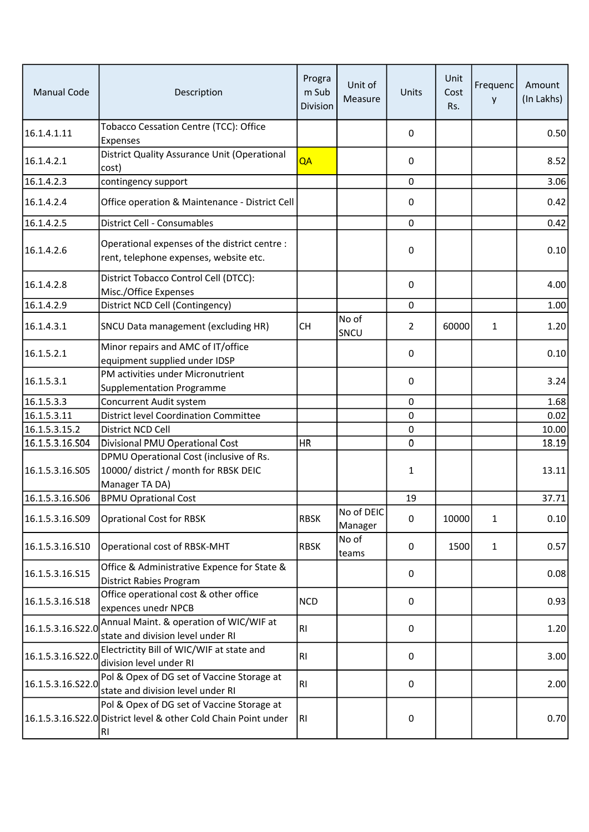| <b>Manual Code</b> | Description                                                                                                         | Progra<br>m Sub<br>Division | Unit of<br>Measure    | Units       | Unit<br>Cost<br>Rs. | Frequenc<br>y | Amount<br>(In Lakhs) |
|--------------------|---------------------------------------------------------------------------------------------------------------------|-----------------------------|-----------------------|-------------|---------------------|---------------|----------------------|
| 16.1.4.1.11        | Tobacco Cessation Centre (TCC): Office<br>Expenses                                                                  |                             |                       | 0           |                     |               | 0.50                 |
| 16.1.4.2.1         | District Quality Assurance Unit (Operational<br>cost)                                                               | QA                          |                       | 0           |                     |               | 8.52                 |
| 16.1.4.2.3         | contingency support                                                                                                 |                             |                       | 0           |                     |               | 3.06                 |
| 16.1.4.2.4         | Office operation & Maintenance - District Cell                                                                      |                             |                       | 0           |                     |               | 0.42                 |
| 16.1.4.2.5         | District Cell - Consumables                                                                                         |                             |                       | $\mathbf 0$ |                     |               | 0.42                 |
| 16.1.4.2.6         | Operational expenses of the district centre :<br>rent, telephone expenses, website etc.                             |                             |                       | 0           |                     |               | 0.10                 |
| 16.1.4.2.8         | District Tobacco Control Cell (DTCC):<br>Misc./Office Expenses                                                      |                             |                       | 0           |                     |               | 4.00                 |
| 16.1.4.2.9         | District NCD Cell (Contingency)                                                                                     |                             |                       | 0           |                     |               | 1.00                 |
| 16.1.4.3.1         | SNCU Data management (excluding HR)                                                                                 | <b>CH</b>                   | No of<br>SNCU         | 2           | 60000               | $\mathbf{1}$  | 1.20                 |
| 16.1.5.2.1         | Minor repairs and AMC of IT/office<br>equipment supplied under IDSP                                                 |                             |                       | 0           |                     |               | 0.10                 |
| 16.1.5.3.1         | PM activities under Micronutrient<br><b>Supplementation Programme</b>                                               |                             |                       | 0           |                     |               | 3.24                 |
| 16.1.5.3.3         | Concurrent Audit system                                                                                             |                             |                       | 0           |                     |               | 1.68                 |
| 16.1.5.3.11        | <b>District level Coordination Committee</b>                                                                        |                             |                       | 0           |                     |               | 0.02                 |
| 16.1.5.3.15.2      | District NCD Cell                                                                                                   |                             |                       | 0           |                     |               | 10.00                |
| 16.1.5.3.16.S04    | Divisional PMU Operational Cost                                                                                     | <b>HR</b>                   |                       | 0           |                     |               | 18.19                |
| 16.1.5.3.16.S05    | DPMU Operational Cost (inclusive of Rs.<br>10000/ district / month for RBSK DEIC<br>Manager TA DA)                  |                             |                       | 1           |                     |               | 13.11                |
| 16.1.5.3.16.S06    | <b>BPMU Oprational Cost</b>                                                                                         |                             |                       | 19          |                     |               | 37.71                |
| 16.1.5.3.16.S09    | <b>Oprational Cost for RBSK</b>                                                                                     | <b>RBSK</b>                 | No of DEIC<br>Manager | 0           | 10000               | $\mathbf{1}$  | 0.10                 |
| 16.1.5.3.16.S10    | Operational cost of RBSK-MHT                                                                                        | <b>RBSK</b>                 | No of<br>teams        | 0           | 1500                | $\mathbf{1}$  | 0.57                 |
| 16.1.5.3.16.S15    | Office & Administrative Expence for State &<br><b>District Rabies Program</b>                                       |                             |                       | 0           |                     |               | 0.08                 |
| 16.1.5.3.16.S18    | Office operational cost & other office<br>expences unedr NPCB                                                       | <b>NCD</b>                  |                       | 0           |                     |               | 0.93                 |
| 16.1.5.3.16.S22.0  | Annual Maint. & operation of WIC/WIF at<br>state and division level under RI                                        | R <sub>1</sub>              |                       | 0           |                     |               | 1.20                 |
| 16.1.5.3.16.S22.0  | Electrictity Bill of WIC/WIF at state and<br>division level under RI                                                | <b>RI</b>                   |                       | 0           |                     |               | 3.00                 |
| 16.1.5.3.16.S22.0  | Pol & Opex of DG set of Vaccine Storage at<br>state and division level under RI                                     | R <sub>1</sub>              |                       | 0           |                     |               | 2.00                 |
|                    | Pol & Opex of DG set of Vaccine Storage at<br>16.1.5.3.16.S22.0 District level & other Cold Chain Point under<br>RI | <b>RI</b>                   |                       | 0           |                     |               | 0.70                 |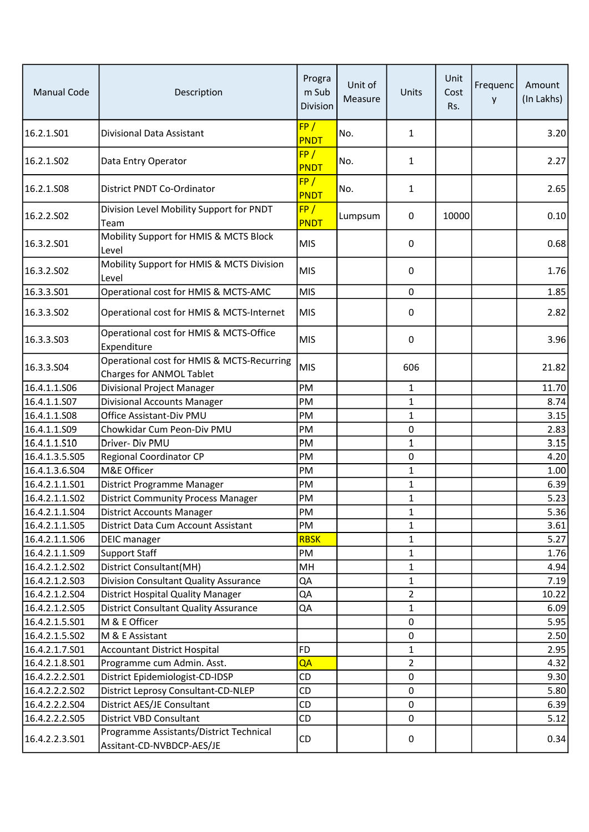| <b>Manual Code</b>               | Description                                                            | Progra<br>m Sub<br>Division | Unit of<br>Measure | Units             | Unit<br>Cost<br>Rs. | Frequenc<br>у | Amount<br>(In Lakhs) |
|----------------------------------|------------------------------------------------------------------------|-----------------------------|--------------------|-------------------|---------------------|---------------|----------------------|
| 16.2.1.S01                       | Divisional Data Assistant                                              | FP/<br><b>PNDT</b>          | No.                | $\mathbf{1}$      |                     |               | 3.20                 |
| 16.2.1.SO2                       | Data Entry Operator                                                    | FP/<br><b>PNDT</b>          | No.                | 1                 |                     |               | 2.27                 |
| 16.2.1.S08                       | District PNDT Co-Ordinator                                             | FP/<br><b>PNDT</b>          | No.                | 1                 |                     |               | 2.65                 |
| 16.2.2.SO2                       | Division Level Mobility Support for PNDT<br>Team                       | FP/<br>PNDT                 | Lumpsum            | 0                 | 10000               |               | 0.10                 |
| 16.3.2.501                       | Mobility Support for HMIS & MCTS Block<br>Level                        | <b>MIS</b>                  |                    | 0                 |                     |               | 0.68                 |
| 16.3.2.SO2                       | Mobility Support for HMIS & MCTS Division<br>Level                     | <b>MIS</b>                  |                    | 0                 |                     |               | 1.76                 |
| 16.3.3.501                       | Operational cost for HMIS & MCTS-AMC                                   | <b>MIS</b>                  |                    | 0                 |                     |               | 1.85                 |
| 16.3.3.SO2                       | Operational cost for HMIS & MCTS-Internet                              | <b>MIS</b>                  |                    | 0                 |                     |               | 2.82                 |
| 16.3.3.503                       | Operational cost for HMIS & MCTS-Office<br>Expenditure                 | <b>MIS</b>                  |                    | 0                 |                     |               | 3.96                 |
| 16.3.3.S04                       | Operational cost for HMIS & MCTS-Recurring<br>Charges for ANMOL Tablet | <b>MIS</b>                  |                    | 606               |                     |               | 21.82                |
| 16.4.1.1.S06                     | Divisional Project Manager                                             | PM                          |                    | $\mathbf{1}$      |                     |               | 11.70                |
| 16.4.1.1.S07                     | <b>Divisional Accounts Manager</b>                                     | PM                          |                    | $\mathbf{1}$      |                     |               | 8.74                 |
| 16.4.1.1.S08                     | Office Assistant-Div PMU                                               | PM                          |                    | 1                 |                     |               | 3.15                 |
| 16.4.1.1.S09                     | Chowkidar Cum Peon-Div PMU                                             | PM                          |                    | 0                 |                     |               | 2.83                 |
| 16.4.1.1.S10                     | Driver- Div PMU                                                        | PM                          |                    | $\mathbf 1$       |                     |               | 3.15                 |
| 16.4.1.3.5.S05                   | <b>Regional Coordinator CP</b>                                         | PM                          |                    | 0                 |                     |               | 4.20                 |
| 16.4.1.3.6.S04                   | M&E Officer                                                            | PM                          |                    | $\mathbf{1}$      |                     |               | 1.00                 |
| 16.4.2.1.1.S01                   | District Programme Manager                                             | PM                          |                    | 1                 |                     |               | 6.39                 |
| 16.4.2.1.1.502                   | <b>District Community Process Manager</b>                              | PM                          |                    | 1                 |                     |               | 5.23                 |
| 16.4.2.1.1.504                   | <b>District Accounts Manager</b>                                       | PM                          |                    | 1                 |                     |               | 5.36                 |
| 16.4.2.1.1.S05                   | District Data Cum Account Assistant                                    | PM                          |                    | $\mathbf{1}$      |                     |               | 3.61                 |
| 16.4.2.1.1.S06                   | DEIC manager                                                           | <b>RBSK</b>                 |                    | 1                 |                     |               | 5.27                 |
| 16.4.2.1.1.S09                   | <b>Support Staff</b>                                                   | PM                          |                    | 1                 |                     |               | 1.76                 |
| 16.4.2.1.2.S02                   | District Consultant(MH)                                                | MH                          |                    | $\mathbf{1}$      |                     |               | 4.94                 |
| 16.4.2.1.2.S03                   | Division Consultant Quality Assurance                                  | QA                          |                    | $\mathbf{1}$      |                     |               | 7.19                 |
| 16.4.2.1.2.504<br>16.4.2.1.2.S05 | <b>District Hospital Quality Manager</b>                               | QA                          |                    | $\overline{2}$    |                     |               | 10.22                |
| 16.4.2.1.5.S01                   | <b>District Consultant Quality Assurance</b><br>M & E Officer          | QA                          |                    | $\mathbf{1}$<br>0 |                     |               | 6.09<br>5.95         |
| 16.4.2.1.5.S02                   | M & E Assistant                                                        |                             |                    | 0                 |                     |               | 2.50                 |
| 16.4.2.1.7.S01                   | <b>Accountant District Hospital</b>                                    | <b>FD</b>                   |                    | $\mathbf 1$       |                     |               | 2.95                 |
| 16.4.2.1.8.S01                   | Programme cum Admin. Asst.                                             | QA                          |                    | $\overline{2}$    |                     |               | 4.32                 |
| 16.4.2.2.2.S01                   | District Epidemiologist-CD-IDSP                                        | CD                          |                    | 0                 |                     |               | 9.30                 |
| 16.4.2.2.2.S02                   | District Leprosy Consultant-CD-NLEP                                    | CD                          |                    | 0                 |                     |               | 5.80                 |
| 16.4.2.2.2.S04                   | District AES/JE Consultant                                             | CD                          |                    | 0                 |                     |               | 6.39                 |
| 16.4.2.2.2.S05                   | District VBD Consultant                                                | CD                          |                    | 0                 |                     |               | 5.12                 |
| 16.4.2.2.3.S01                   | Programme Assistants/District Technical<br>Assitant-CD-NVBDCP-AES/JE   | CD                          |                    | 0                 |                     |               | 0.34                 |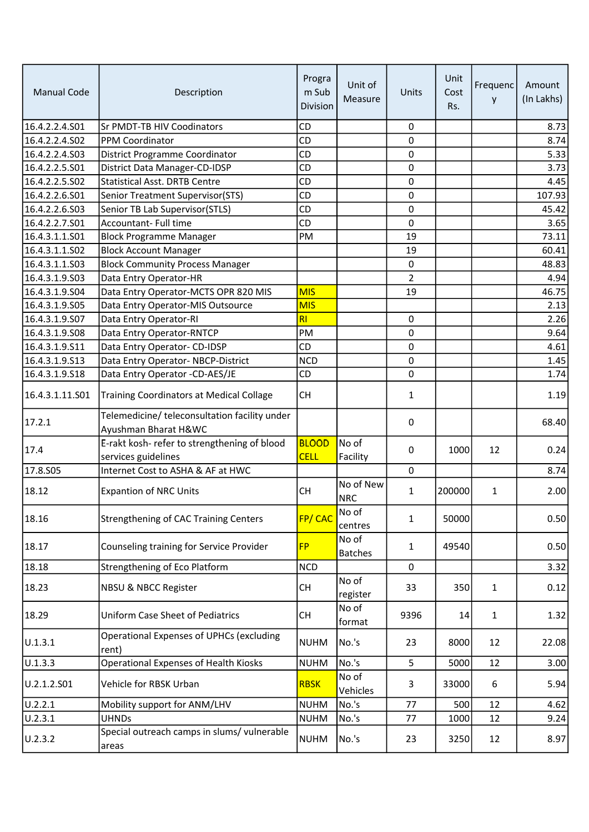| <b>Manual Code</b> | Description                                                           | Progra<br>m Sub<br>Division | Unit of<br>Measure      | Units          | Unit<br>Cost<br>Rs. | Frequenc<br>y | Amount<br>(In Lakhs) |
|--------------------|-----------------------------------------------------------------------|-----------------------------|-------------------------|----------------|---------------------|---------------|----------------------|
| 16.4.2.2.4.S01     | <b>Sr PMDT-TB HIV Coodinators</b>                                     | CD                          |                         | 0              |                     |               | 8.73                 |
| 16.4.2.2.4.502     | PPM Coordinator                                                       | CD                          |                         | 0              |                     |               | 8.74                 |
| 16.4.2.2.4.503     | District Programme Coordinator                                        | CD                          |                         | 0              |                     |               | 5.33                 |
| 16.4.2.2.5.S01     | District Data Manager-CD-IDSP                                         | CD                          |                         | 0              |                     |               | 3.73                 |
| 16.4.2.2.5.S02     | <b>Statistical Asst. DRTB Centre</b>                                  | CD                          |                         | 0              |                     |               | 4.45                 |
| 16.4.2.2.6.501     | Senior Treatment Supervisor(STS)                                      | CD                          |                         | 0              |                     |               | 107.93               |
| 16.4.2.2.6.503     | Senior TB Lab Supervisor(STLS)                                        | CD                          |                         | 0              |                     |               | 45.42                |
| 16.4.2.2.7.501     | Accountant- Full time                                                 | CD                          |                         | 0              |                     |               | 3.65                 |
| 16.4.3.1.1.S01     | <b>Block Programme Manager</b>                                        | PM                          |                         | 19             |                     |               | 73.11                |
| 16.4.3.1.1.S02     | <b>Block Account Manager</b>                                          |                             |                         | 19             |                     |               | 60.41                |
| 16.4.3.1.1.503     | <b>Block Community Process Manager</b>                                |                             |                         | 0              |                     |               | 48.83                |
| 16.4.3.1.9.503     | Data Entry Operator-HR                                                |                             |                         | $\overline{2}$ |                     |               | 4.94                 |
| 16.4.3.1.9.504     | Data Entry Operator-MCTS OPR 820 MIS                                  | <b>MIS</b>                  |                         | 19             |                     |               | 46.75                |
| 16.4.3.1.9.S05     | Data Entry Operator-MIS Outsource                                     | <b>MIS</b>                  |                         |                |                     |               | 2.13                 |
| 16.4.3.1.9.S07     | Data Entry Operator-RI                                                | RI                          |                         | 0              |                     |               | 2.26                 |
| 16.4.3.1.9.S08     | Data Entry Operator-RNTCP                                             | PM                          |                         | 0              |                     |               | 9.64                 |
| 16.4.3.1.9.511     | Data Entry Operator- CD-IDSP                                          | CD                          |                         | 0              |                     |               | 4.61                 |
| 16.4.3.1.9.513     | Data Entry Operator-NBCP-District                                     | <b>NCD</b>                  |                         | 0              |                     |               | 1.45                 |
| 16.4.3.1.9.S18     | Data Entry Operator -CD-AES/JE                                        | CD                          |                         | 0              |                     |               | 1.74                 |
| 16.4.3.1.11.S01    | Training Coordinators at Medical Collage                              | <b>CH</b>                   |                         | 1              |                     |               | 1.19                 |
| 17.2.1             | Telemedicine/ teleconsultation facility under<br>Ayushman Bharat H&WC |                             |                         | 0              |                     |               | 68.40                |
| 17.4               | E-rakt kosh- refer to strengthening of blood<br>services guidelines   | <b>BLOOD</b><br><b>CELL</b> | No of<br>Facility       | 0              | 1000                | 12            | 0.24                 |
| 17.8.S05           | Internet Cost to ASHA & AF at HWC                                     |                             |                         | 0              |                     |               | 8.74                 |
| 18.12              | <b>Expantion of NRC Units</b>                                         | <b>CH</b>                   | No of New<br><b>NRC</b> | 1              | 200000              | $\mathbf{1}$  | 2.00                 |
| 18.16              | <b>Strengthening of CAC Training Centers</b>                          | FP/CAC                      | No of<br>centres        | 1              | 50000               |               | 0.50                 |
| 18.17              | Counseling training for Service Provider                              | <b>FP</b>                   | No of<br><b>Batches</b> | 1              | 49540               |               | 0.50                 |
| 18.18              | Strengthening of Eco Platform                                         | <b>NCD</b>                  |                         | 0              |                     |               | 3.32                 |
| 18.23              | NBSU & NBCC Register                                                  | <b>CH</b>                   | No of<br>register       | 33             | 350                 | $\mathbf{1}$  | 0.12                 |
| 18.29              | <b>Uniform Case Sheet of Pediatrics</b>                               | CH                          | No of<br>format         | 9396           | 14                  | $\mathbf{1}$  | 1.32                 |
| U.1.3.1            | Operational Expenses of UPHCs (excluding<br>rent)                     | <b>NUHM</b>                 | No.'s                   | 23             | 8000                | 12            | 22.08                |
| U.1.3.3            | <b>Operational Expenses of Health Kiosks</b>                          | <b>NUHM</b>                 | No.'s                   | 5              | 5000                | 12            | 3.00                 |
| U.2.1.2.S01        | Vehicle for RBSK Urban                                                | <b>RBSK</b>                 | No of<br>Vehicles       | 3              | 33000               | 6             | 5.94                 |
| U.2.2.1            | Mobility support for ANM/LHV                                          | <b>NUHM</b>                 | No.'s                   | 77             | 500                 | 12            | 4.62                 |
| U.2.3.1            | <b>UHNDs</b>                                                          | <b>NUHM</b>                 | No.'s                   | 77             | 1000                | 12            | 9.24                 |
| U.2.3.2            | Special outreach camps in slums/ vulnerable<br>areas                  | <b>NUHM</b>                 | No.'s                   | 23             | 3250                | 12            | 8.97                 |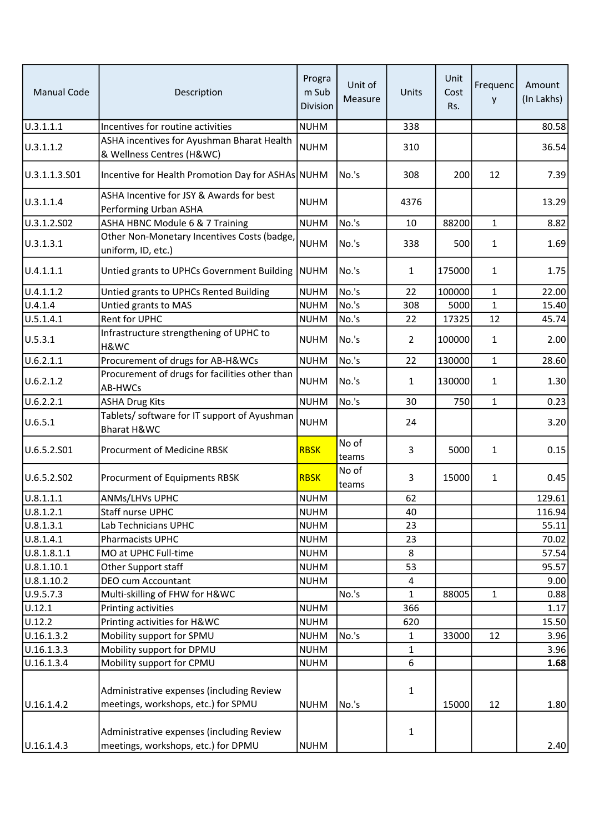| <b>Manual Code</b> | Description                                                                      | Progra<br>m Sub<br>Division | Unit of<br>Measure | Units          | Unit<br>Cost<br>Rs. | Frequenc<br>y | Amount<br>(In Lakhs) |
|--------------------|----------------------------------------------------------------------------------|-----------------------------|--------------------|----------------|---------------------|---------------|----------------------|
| 0.3.1.1.1          | Incentives for routine activities                                                | <b>NUHM</b>                 |                    | 338            |                     |               | 80.58                |
| U.3.1.1.2          | ASHA incentives for Ayushman Bharat Health<br>& Wellness Centres (H&WC)          | <b>NUHM</b>                 |                    | 310            |                     |               | 36.54                |
| U.3.1.1.3.S01      | Incentive for Health Promotion Day for ASHAs NUHM                                |                             | No.'s              | 308            | 200                 | 12            | 7.39                 |
| U.3.1.1.4          | ASHA Incentive for JSY & Awards for best<br>Performing Urban ASHA                | <b>NUHM</b>                 |                    | 4376           |                     |               | 13.29                |
| U.3.1.2.S02        | ASHA HBNC Module 6 & 7 Training                                                  | <b>NUHM</b>                 | No.'s              | 10             | 88200               | $\mathbf{1}$  | 8.82                 |
| U.3.1.3.1          | Other Non-Monetary Incentives Costs (badge<br>uniform, ID, etc.)                 | <b>NUHM</b>                 | No.'s              | 338            | 500                 | 1             | 1.69                 |
| U.4.1.1.1          | Untied grants to UPHCs Government Building                                       | <b>NUHM</b>                 | No.'s              | $\mathbf{1}$   | 175000              | 1             | 1.75                 |
| U.4.1.1.2          | Untied grants to UPHCs Rented Building                                           | <b>NUHM</b>                 | No.'s              | 22             | 100000              | $\mathbf{1}$  | 22.00                |
| U.4.1.4            | Untied grants to MAS                                                             | <b>NUHM</b>                 | No.'s              | 308            | 5000                | $\mathbf{1}$  | 15.40                |
| U.5.1.4.1          | Rent for UPHC                                                                    | <b>NUHM</b>                 | No.'s              | 22             | 17325               | 12            | 45.74                |
| U.5.3.1            | Infrastructure strengthening of UPHC to<br>H&WC                                  | <b>NUHM</b>                 | No.'s              | $\overline{2}$ | 100000              | 1             | 2.00                 |
| U.6.2.1.1          | Procurement of drugs for AB-H&WCs                                                | <b>NUHM</b>                 | No.'s              | 22             | 130000              | $\mathbf{1}$  | 28.60                |
| U.6.2.1.2          | Procurement of drugs for facilities other than<br>AB-HWCs                        | <b>NUHM</b>                 | No.'s              | $\mathbf{1}$   | 130000              | 1             | 1.30                 |
| U.6.2.2.1          | <b>ASHA Drug Kits</b>                                                            | <b>NUHM</b>                 | No.'s              | 30             | 750                 | $\mathbf{1}$  | 0.23                 |
| U.6.5.1            | Tablets/ software for IT support of Ayushman<br>Bharat H&WC                      | <b>NUHM</b>                 |                    | 24             |                     |               | 3.20                 |
| U.6.5.2.S01        | Procurment of Medicine RBSK                                                      | <b>RBSK</b>                 | No of<br>teams     | 3              | 5000                | $\mathbf{1}$  | 0.15                 |
| U.6.5.2.S02        | Procurment of Equipments RBSK                                                    | <b>RBSK</b>                 | No of<br>teams     | 3              | 15000               | 1             | 0.45                 |
| U.8.1.1.1          | ANMs/LHVs UPHC                                                                   | <b>NUHM</b>                 |                    | 62             |                     |               | 129.61               |
| U.8.1.2.1          | Staff nurse UPHC                                                                 | <b>NUHM</b>                 |                    | 40             |                     |               | 116.94               |
| U.8.1.3.1          | Lab Technicians UPHC                                                             | <b>NUHM</b>                 |                    | 23             |                     |               | 55.11                |
| U.8.1.4.1          | <b>Pharmacists UPHC</b>                                                          | <b>NUHM</b>                 |                    | 23             |                     |               | 70.02                |
| 0.8.1.8.1.1        | MO at UPHC Full-time                                                             | <b>NUHM</b>                 |                    | 8              |                     |               | 57.54                |
| U.8.1.10.1         | Other Support staff                                                              | <b>NUHM</b>                 |                    | 53             |                     |               | 95.57                |
| U.8.1.10.2         | DEO cum Accountant                                                               | <b>NUHM</b>                 |                    | 4              |                     |               | 9.00                 |
| U.9.5.7.3          | Multi-skilling of FHW for H&WC                                                   |                             | No.'s              | 1              | 88005               | $\mathbf{1}$  | 0.88                 |
| U.12.1             | Printing activities                                                              | <b>NUHM</b>                 |                    | 366            |                     |               | 1.17                 |
| U.12.2             | Printing activities for H&WC                                                     | <b>NUHM</b>                 |                    | 620            |                     |               | 15.50                |
| U.16.1.3.2         | Mobility support for SPMU                                                        | <b>NUHM</b>                 | No.'s              | $\mathbf{1}$   | 33000               | 12            | 3.96                 |
| U.16.1.3.3         | Mobility support for DPMU                                                        | <b>NUHM</b>                 |                    | $\mathbf{1}$   |                     |               | 3.96                 |
| U.16.1.3.4         | Mobility support for CPMU                                                        | <b>NUHM</b>                 |                    | 6              |                     |               | 1.68                 |
| U.16.1.4.2         | Administrative expenses (including Review<br>meetings, workshops, etc.) for SPMU | <b>NUHM</b>                 | No.'s              | $\mathbf 1$    | 15000               | 12            | 1.80                 |
|                    | Administrative expenses (including Review                                        |                             |                    | $\mathbf{1}$   |                     |               |                      |
| U.16.1.4.3         | meetings, workshops, etc.) for DPMU                                              | <b>NUHM</b>                 |                    |                |                     |               | 2.40                 |